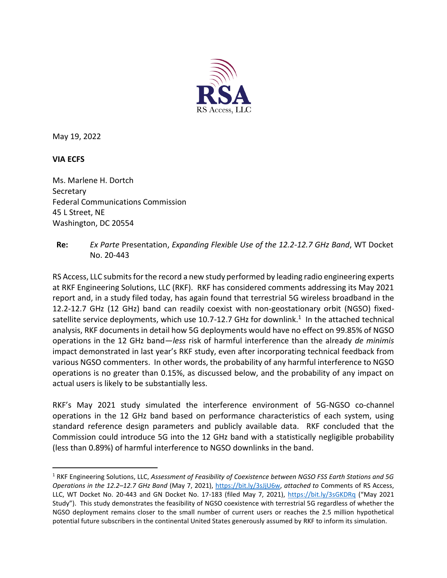

May 19, 2022

#### **VIA ECFS**

Ms. Marlene H. Dortch **Secretary** Federal Communications Commission 45 L Street, NE Washington, DC 20554

**Re:** *Ex Parte* Presentation, *Expanding Flexible Use of the 12.2-12.7 GHz Band*, WT Docket No. 20-443

RS Access, LLC submits for the record a new study performed by leading radio engineering experts at RKF Engineering Solutions, LLC (RKF). RKF has considered comments addressing its May 2021 report and, in a study filed today, has again found that terrestrial 5G wireless broadband in the 12.2-12.7 GHz (12 GHz) band can readily coexist with non-geostationary orbit (NGSO) fixedsatellite service deployments, which use 10.7-12.7 GHz for downlink.<sup>1</sup> In the attached technical analysis, RKF documents in detail how 5G deployments would have no effect on 99.85% of NGSO operations in the 12 GHz band—*less* risk of harmful interference than the already *de minimis* impact demonstrated in last year's RKF study, even after incorporating technical feedback from various NGSO commenters. In other words, the probability of any harmful interference to NGSO operations is no greater than 0.15%, as discussed below, and the probability of any impact on actual users is likely to be substantially less.

RKF's May 2021 study simulated the interference environment of 5G-NGSO co-channel operations in the 12 GHz band based on performance characteristics of each system, using standard reference design parameters and publicly available data. RKF concluded that the Commission could introduce 5G into the 12 GHz band with a statistically negligible probability (less than 0.89%) of harmful interference to NGSO downlinks in the band.

<sup>1</sup> RKF Engineering Solutions, LLC, *Assessment of Feasibility of Coexistence between NGSO FSS Earth Stations and 5G Operations in the 12.2–12.7 GHz Band* (May 7, 2021), [https://bit.ly/3sJjU6w,](https://bit.ly/3sJjU6w) *attached to* Comments of RS Access, LLC, WT Docket No. 20-443 and GN Docket No. 17-183 (filed May 7, 2021),<https://bit.ly/3sGKDRq> ("May 2021 Study"). This study demonstrates the feasibility of NGSO coexistence with terrestrial 5G regardless of whether the NGSO deployment remains closer to the small number of current users or reaches the 2.5 million hypothetical potential future subscribers in the continental United States generously assumed by RKF to inform its simulation.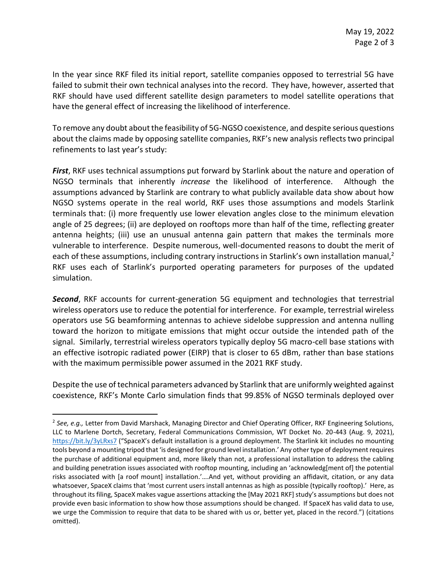In the year since RKF filed its initial report, satellite companies opposed to terrestrial 5G have failed to submit their own technical analyses into the record. They have, however, asserted that RKF should have used different satellite design parameters to model satellite operations that have the general effect of increasing the likelihood of interference.

To remove any doubt about the feasibility of 5G-NGSO coexistence, and despite serious questions about the claims made by opposing satellite companies, RKF's new analysis reflects two principal refinements to last year's study:

*First*, RKF uses technical assumptions put forward by Starlink about the nature and operation of NGSO terminals that inherently *increase* the likelihood of interference. Although the assumptions advanced by Starlink are contrary to what publicly available data show about how NGSO systems operate in the real world, RKF uses those assumptions and models Starlink terminals that: (i) more frequently use lower elevation angles close to the minimum elevation angle of 25 degrees; (ii) are deployed on rooftops more than half of the time, reflecting greater antenna heights; (iii) use an unusual antenna gain pattern that makes the terminals more vulnerable to interference. Despite numerous, well-documented reasons to doubt the merit of each of these assumptions, including contrary instructions in Starlink's own installation manual, $^2$ RKF uses each of Starlink's purported operating parameters for purposes of the updated simulation.

*Second*, RKF accounts for current-generation 5G equipment and technologies that terrestrial wireless operators use to reduce the potential for interference. For example, terrestrial wireless operators use 5G beamforming antennas to achieve sidelobe suppression and antenna nulling toward the horizon to mitigate emissions that might occur outside the intended path of the signal. Similarly, terrestrial wireless operators typically deploy 5G macro-cell base stations with an effective isotropic radiated power (EIRP) that is closer to 65 dBm, rather than base stations with the maximum permissible power assumed in the 2021 RKF study.

Despite the use of technical parameters advanced by Starlink that are uniformly weighted against coexistence, RKF's Monte Carlo simulation finds that 99.85% of NGSO terminals deployed over

<sup>2</sup> *See, e.g.,* Letter from David Marshack, Managing Director and Chief Operating Officer, RKF Engineering Solutions, LLC to Marlene Dortch, Secretary, Federal Communications Commission, WT Docket No. 20-443 (Aug. 9, 2021), <https://bit.ly/3yLRxs7> ("SpaceX's default installation is a ground deployment. The Starlink kit includes no mounting tools beyond a mounting tripod that 'is designed for ground level installation.' Any other type of deployment requires the purchase of additional equipment and, more likely than not, a professional installation to address the cabling and building penetration issues associated with rooftop mounting, including an 'acknowledg[ment of] the potential risks associated with [a roof mount] installation.'….And yet, without providing an affidavit, citation, or any data whatsoever, SpaceX claims that 'most current users install antennas as high as possible (typically rooftop).' Here, as throughout its filing, SpaceX makes vague assertions attacking the [May 2021 RKF] study's assumptions but does not provide even basic information to show how those assumptions should be changed. If SpaceX has valid data to use, we urge the Commission to require that data to be shared with us or, better yet, placed in the record.") (citations omitted).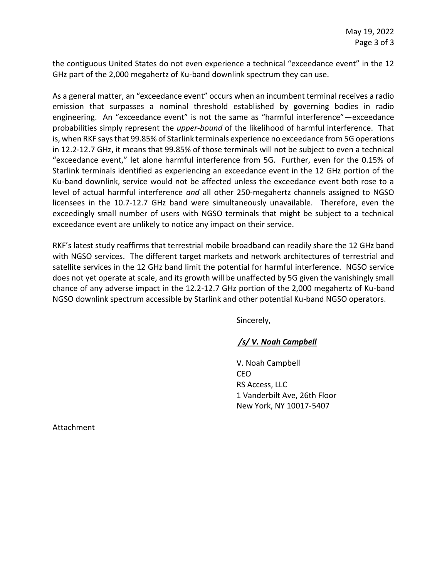the contiguous United States do not even experience a technical "exceedance event" in the 12 GHz part of the 2,000 megahertz of Ku-band downlink spectrum they can use.

As a general matter, an "exceedance event" occurs when an incumbent terminal receives a radio emission that surpasses a nominal threshold established by governing bodies in radio engineering. An "exceedance event" is not the same as "harmful interference"—exceedance probabilities simply represent the *upper-bound* of the likelihood of harmful interference. That is, when RKF says that 99.85% of Starlink terminals experience no exceedance from 5G operations in 12.2-12.7 GHz, it means that 99.85% of those terminals will not be subject to even a technical "exceedance event," let alone harmful interference from 5G. Further, even for the 0.15% of Starlink terminals identified as experiencing an exceedance event in the 12 GHz portion of the Ku-band downlink, service would not be affected unless the exceedance event both rose to a level of actual harmful interference *and* all other 250-megahertz channels assigned to NGSO licensees in the 10.7-12.7 GHz band were simultaneously unavailable. Therefore, even the exceedingly small number of users with NGSO terminals that might be subject to a technical exceedance event are unlikely to notice any impact on their service.

RKF's latest study reaffirms that terrestrial mobile broadband can readily share the 12 GHz band with NGSO services. The different target markets and network architectures of terrestrial and satellite services in the 12 GHz band limit the potential for harmful interference. NGSO service does not yet operate at scale, and its growth will be unaffected by 5G given the vanishingly small chance of any adverse impact in the 12.2-12.7 GHz portion of the 2,000 megahertz of Ku-band NGSO downlink spectrum accessible by Starlink and other potential Ku-band NGSO operators.

Sincerely,

#### */s/ V. Noah Campbell*

V. Noah Campbell CEO RS Access, LLC 1 Vanderbilt Ave, 26th Floor New York, NY 10017‑5407

Attachment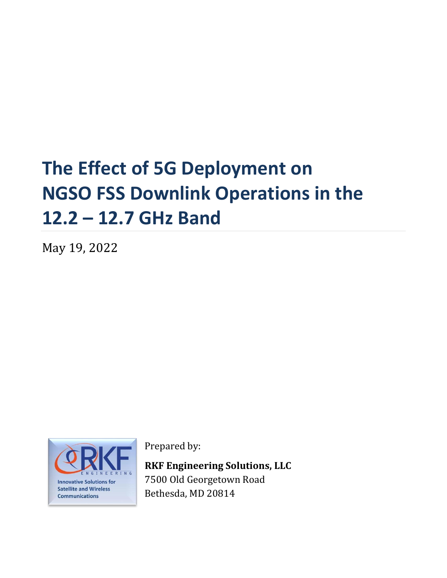# **The Effect of 5G Deployment on NGSO FSS Downlink Operations in the 12.2 – 12.7 GHz Band**

May 19, 2022



Prepared by:

**RKF Engineering Solutions, LLC** 7500 Old Georgetown Road Bethesda, MD 20814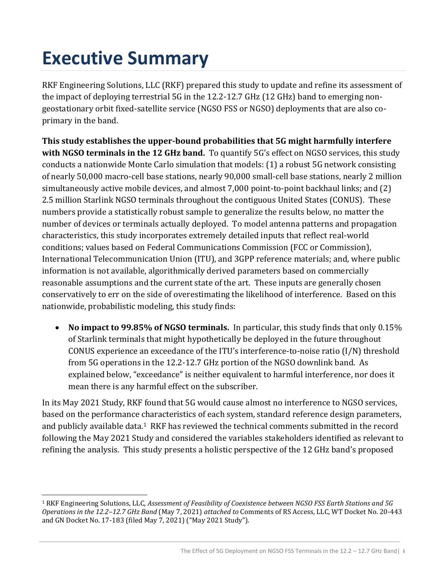# **Executive Summary**

RKF Engineering Solutions, LLC (RKF) prepared this study to update and refine its assessment of the impact of deploying terrestrial 5G in the 12.2-12.7 GHz (12 GHz) band to emerging nongeostationary orbit fixed-satellite service (NGSO FSS or NGSO) deployments that are also coprimary in the band.

**This study establishes the upper-bound probabilities that 5G might harmfully interfere with NGSO terminals in the 12 GHz band.** To quantify 5G's effect on NGSO services, this study conducts a nationwide Monte Carlo simulation that models: (1) a robust 5G network consisting of nearly 50,000 macro-cell base stations, nearly 90,000 small-cell base stations, nearly 2 million simultaneously active mobile devices, and almost 7,000 point-to-point backhaul links; and (2) 2.5 million Starlink NGSO terminals throughout the contiguous United States (CONUS). These numbers provide a statistically robust sample to generalize the results below, no matter the number of devices or terminals actually deployed. To model antenna patterns and propagation characteristics, this study incorporates extremely detailed inputs that reflect real-world conditions; values based on Federal Communications Commission (FCC or Commission), International Telecommunication Union (ITU), and 3GPP reference materials; and, where public information is not available, algorithmically derived parameters based on commercially reasonable assumptions and the current state of the art. These inputs are generally chosen conservatively to err on the side of overestimating the likelihood of interference. Based on this nationwide, probabilistic modeling, this study finds:

• **No impact to 99.85% of NGSO terminals.** In particular, this study finds that only 0.15% of Starlink terminals that might hypothetically be deployed in the future throughout CONUS experience an exceedance of the ITU's interference-to-noise ratio (I/N) threshold from 5G operations in the 12.2-12.7 GHz portion of the NGSO downlink band. As explained below, "exceedance" is neither equivalent to harmful interference, nor does it mean there is any harmful effect on the subscriber.

In its May 2021 Study, RKF found that 5G would cause almost no interference to NGSO services, based on the performance characteristics of each system, standard reference design parameters, and publicly available data.<sup>1</sup> RKF has reviewed the technical comments submitted in the record following the May 2021 Study and considered the variables stakeholders identified as relevant to refining the analysis. This study presents a holistic perspective of the 12 GHz band's proposed

<sup>1</sup> RKF Engineering Solutions, LLC, *Assessment of Feasibility of Coexistence between NGSO FSS Earth Stations and 5G Operations in the 12.2–12.7 GHz Band* (May 7, 2021) *attached to* Comments of RS Access, LLC, WT Docket No. 20-443 and GN Docket No. 17-183 (filed May 7, 2021) ("May 2021 Study").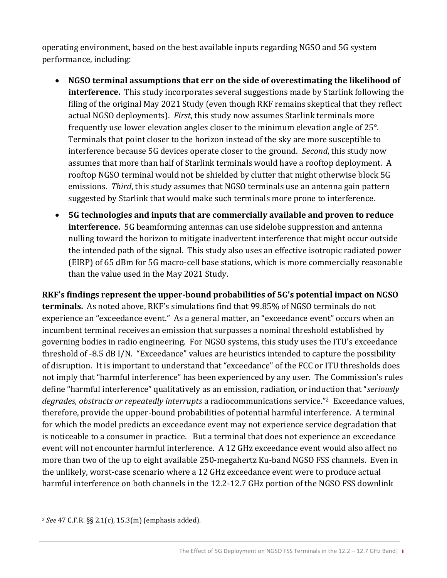operating environment, based on the best available inputs regarding NGSO and 5G system performance, including:

- **NGSO terminal assumptions that err on the side of overestimating the likelihood of interference.** This study incorporates several suggestions made by Starlink following the filing of the original May 2021 Study (even though RKF remains skeptical that they reflect actual NGSO deployments). *First*, this study now assumes Starlink terminals more frequently use lower elevation angles closer to the minimum elevation angle of 25°. Terminals that point closer to the horizon instead of the sky are more susceptible to interference because 5G devices operate closer to the ground. *Second*, this study now assumes that more than half of Starlink terminals would have a rooftop deployment. A rooftop NGSO terminal would not be shielded by clutter that might otherwise block 5G emissions. *Third*, this study assumes that NGSO terminals use an antenna gain pattern suggested by Starlink that would make such terminals more prone to interference.
- **5G technologies and inputs that are commercially available and proven to reduce interference.** 5G beamforming antennas can use sidelobe suppression and antenna nulling toward the horizon to mitigate inadvertent interference that might occur outside the intended path of the signal. This study also uses an effective isotropic radiated power (EIRP) of 65 dBm for 5G macro-cell base stations, which is more commercially reasonable than the value used in the May 2021 Study.

**RKF's findings represent the upper-bound probabilities of 5G's potential impact on NGSO terminals.** As noted above, RKF's simulations find that 99.85% of NGSO terminals do not experience an "exceedance event." As a general matter, an "exceedance event" occurs when an incumbent terminal receives an emission that surpasses a nominal threshold established by governing bodies in radio engineering. For NGSO systems, this study uses the ITU's exceedance threshold of -8.5 dB I/N. "Exceedance" values are heuristics intended to capture the possibility of disruption. It is important to understand that "exceedance" of the FCC or ITU thresholds does not imply that "harmful interference" has been experienced by any user. The Commission's rules define "harmful interference" qualitatively as an emission, radiation, or induction that "*seriously degrades, obstructs or repeatedly interrupts* a radiocommunications service."2 Exceedance values, therefore, provide the upper-bound probabilities of potential harmful interference. A terminal for which the model predicts an exceedance event may not experience service degradation that is noticeable to a consumer in practice. But a terminal that does not experience an exceedance event will not encounter harmful interference. A 12 GHz exceedance event would also affect no more than two of the up to eight available 250-megahertz Ku-band NGSO FSS channels. Even in the unlikely, worst-case scenario where a 12 GHz exceedance event were to produce actual harmful interference on both channels in the 12.2-12.7 GHz portion of the NGSO FSS downlink

<sup>2</sup> *See* 47 C.F.R. §§ 2.1(c), 15.3(m) (emphasis added).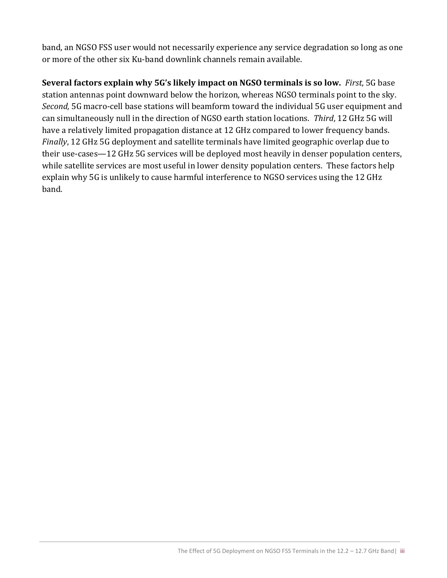band, an NGSO FSS user would not necessarily experience any service degradation so long as one or more of the other six Ku-band downlink channels remain available.

**Several factors explain why 5G's likely impact on NGSO terminals is so low.** *First*, 5G base station antennas point downward below the horizon, whereas NGSO terminals point to the sky. *Second,* 5G macro-cell base stations will beamform toward the individual 5G user equipment and can simultaneously null in the direction of NGSO earth station locations. *Third*, 12 GHz 5G will have a relatively limited propagation distance at 12 GHz compared to lower frequency bands. *Finally*, 12 GHz 5G deployment and satellite terminals have limited geographic overlap due to their use-cases—12 GHz 5G services will be deployed most heavily in denser population centers, while satellite services are most useful in lower density population centers. These factors help explain why 5G is unlikely to cause harmful interference to NGSO services using the 12 GHz band.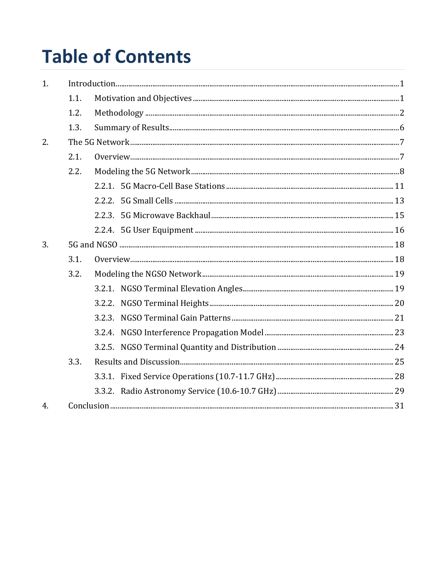# **Table of Contents**

| 1. |      |  |  |
|----|------|--|--|
|    | 1.1. |  |  |
|    | 1.2. |  |  |
|    | 1.3. |  |  |
| 2. |      |  |  |
|    | 2.1. |  |  |
|    | 2.2. |  |  |
|    |      |  |  |
|    |      |  |  |
|    |      |  |  |
|    |      |  |  |
| 3. |      |  |  |
|    | 3.1. |  |  |
|    | 3.2. |  |  |
|    |      |  |  |
|    |      |  |  |
|    |      |  |  |
|    |      |  |  |
|    |      |  |  |
|    | 3.3. |  |  |
|    |      |  |  |
|    |      |  |  |
| 4. |      |  |  |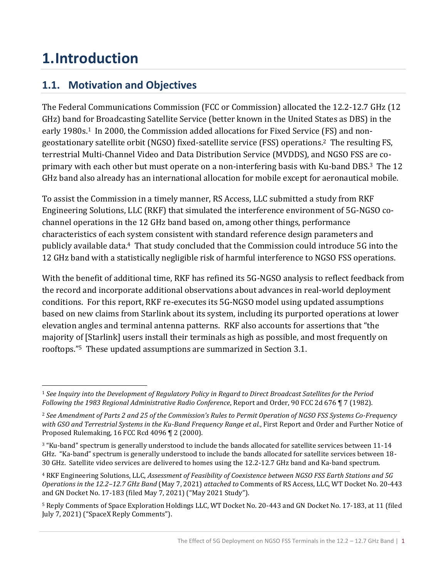# <span id="page-8-0"></span>**1.Introduction**

# <span id="page-8-1"></span>**1.1. Motivation and Objectives**

The Federal Communications Commission (FCC or Commission) allocated the 12.2-12.7 GHz (12 GHz) band for Broadcasting Satellite Service (better known in the United States as DBS) in the early 1980s.<sup>1</sup> In 2000, the Commission added allocations for Fixed Service (FS) and nongeostationary satellite orbit (NGSO) fixed-satellite service (FSS) operations.2 The resulting FS, terrestrial Multi-Channel Video and Data Distribution Service (MVDDS), and NGSO FSS are coprimary with each other but must operate on a non-interfering basis with Ku-band DBS.3 The 12 GHz band also already has an international allocation for mobile except for aeronautical mobile.

To assist the Commission in a timely manner, RS Access, LLC submitted a study from RKF Engineering Solutions, LLC (RKF) that simulated the interference environment of 5G-NGSO cochannel operations in the 12 GHz band based on, among other things, performance characteristics of each system consistent with standard reference design parameters and publicly available data.4 That study concluded that the Commission could introduce 5G into the 12 GHz band with a statistically negligible risk of harmful interference to NGSO FSS operations.

With the benefit of additional time, RKF has refined its 5G-NGSO analysis to reflect feedback from the record and incorporate additional observations about advances in real-world deployment conditions. For this report, RKF re-executes its 5G-NGSO model using updated assumptions based on new claims from Starlink about its system, including its purported operations at lower elevation angles and terminal antenna patterns. RKF also accounts for assertions that "the majority of [Starlink] users install their terminals as high as possible, and most frequently on rooftops."5 These updated assumptions are summarized in Section [3.1.](#page-25-1) 

<sup>1</sup> *See Inquiry into the Development of Regulatory Policy in Regard to Direct Broadcast Satellites for the Period Following the 1983 Regional Administrative Radio Conference*, Report and Order, 90 FCC 2d 676 ¶ 7 (1982).

<sup>2</sup> *See Amendment of Parts 2 and 25 of the Commission's Rules to Permit Operation of NGSO FSS Systems Co-Frequency with GSO and Terrestrial Systems in the Ku-Band Frequency Range et al.*, First Report and Order and Further Notice of Proposed Rulemaking, 16 FCC Rcd 4096 ¶ 2 (2000).

<sup>&</sup>lt;sup>3</sup> "Ku-band" spectrum is generally understood to include the bands allocated for satellite services between 11-14 GHz. "Ka-band" spectrum is generally understood to include the bands allocated for satellite services between 18- 30 GHz. Satellite video services are delivered to homes using the 12.2-12.7 GHz band and Ka-band spectrum.

<sup>4</sup> RKF Engineering Solutions, LLC, *Assessment of Feasibility of Coexistence between NGSO FSS Earth Stations and 5G Operations in the 12.2–12.7 GHz Band* (May 7, 2021) *attached to* Comments of RS Access, LLC, WT Docket No. 20-443 and GN Docket No. 17-183 (filed May 7, 2021) ("May 2021 Study").

<sup>5</sup> Reply Comments of Space Exploration Holdings LLC, WT Docket No. 20-443 and GN Docket No. 17-183, at 11 (filed July 7, 2021) ("SpaceX Reply Comments").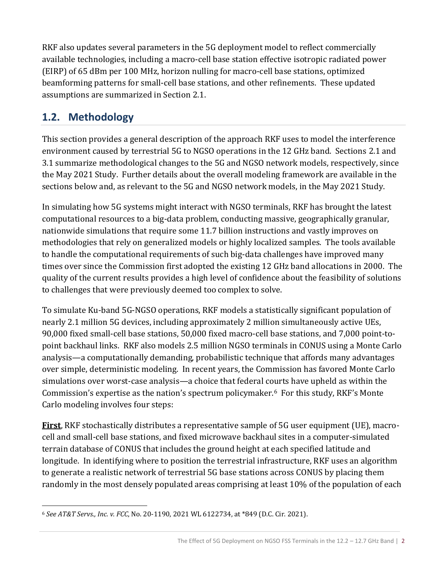RKF also updates several parameters in the 5G deployment model to reflect commercially available technologies, including a macro-cell base station effective isotropic radiated power (EIRP) of 65 dBm per 100 MHz, horizon nulling for macro-cell base stations, optimized beamforming patterns for small-cell base stations, and other refinements. These updated assumptions are summarized in Section [2.1.](#page-14-1)

# <span id="page-9-0"></span>**1.2. Methodology**

This section provides a general description of the approach RKF uses to model the interference environment caused by terrestrial 5G to NGSO operations in the 12 GHz band. Sections [2.1](#page-14-1) and [3.1](#page-25-1) summarize methodological changes to the 5G and NGSO network models, respectively, since the May 2021 Study. Further details about the overall modeling framework are available in the sections below and, as relevant to the 5G and NGSO network models, in the May 2021 Study.

In simulating how 5G systems might interact with NGSO terminals, RKF has brought the latest computational resources to a big-data problem, conducting massive, geographically granular, nationwide simulations that require some 11.7 billion instructions and vastly improves on methodologies that rely on generalized models or highly localized samples. The tools available to handle the computational requirements of such big-data challenges have improved many times over since the Commission first adopted the existing 12 GHz band allocations in 2000. The quality of the current results provides a high level of confidence about the feasibility of solutions to challenges that were previously deemed too complex to solve.

To simulate Ku-band 5G-NGSO operations, RKF models a statistically significant population of nearly 2.1 million 5G devices, including approximately 2 million simultaneously active UEs, 90,000 fixed small-cell base stations, 50,000 fixed macro-cell base stations, and 7,000 point-topoint backhaul links. RKF also models 2.5 million NGSO terminals in CONUS using a Monte Carlo analysis—a computationally demanding, probabilistic technique that affords many advantages over simple, deterministic modeling. In recent years, the Commission has favored Monte Carlo simulations over worst-case analysis—a choice that federal courts have upheld as within the Commission's expertise as the nation's spectrum policymaker.6 For this study, RKF's Monte Carlo modeling involves four steps:

**First**, RKF stochastically distributes a representative sample of 5G user equipment (UE), macrocell and small-cell base stations, and fixed microwave backhaul sites in a computer-simulated terrain database of CONUS that includes the ground height at each specified latitude and longitude. In identifying where to position the terrestrial infrastructure, RKF uses an algorithm to generate a realistic network of terrestrial 5G base stations across CONUS by placing them randomly in the most densely populated areas comprising at least 10% of the population of each

<sup>6</sup> *See AT&T Servs., Inc. v. FCC*, No. 20-1190, 2021 WL 6122734, at \*849 (D.C. Cir. 2021).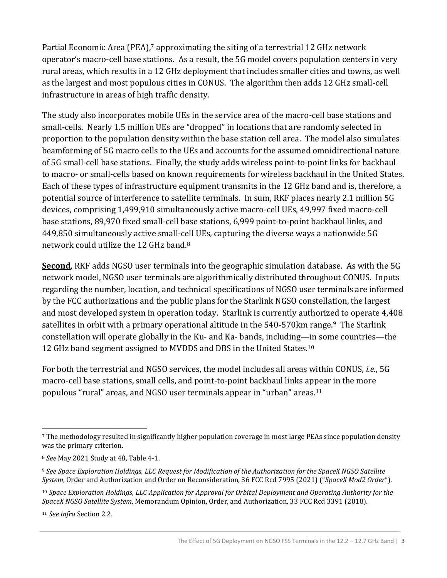Partial Economic Area (PEA),<sup>7</sup> approximating the siting of a terrestrial 12 GHz network operator's macro-cell base stations. As a result, the 5G model covers population centers in very rural areas, which results in a 12 GHz deployment that includes smaller cities and towns, as well as the largest and most populous cities in CONUS. The algorithm then adds 12 GHz small-cell infrastructure in areas of high traffic density.

The study also incorporates mobile UEs in the service area of the macro-cell base stations and small-cells. Nearly 1.5 million UEs are "dropped" in locations that are randomly selected in proportion to the population density within the base station cell area. The model also simulates beamforming of 5G macro cells to the UEs and accounts for the assumed omnidirectional nature of 5G small-cell base stations. Finally, the study adds wireless point-to-point links for backhaul to macro- or small-cells based on known requirements for wireless backhaul in the United States. Each of these types of infrastructure equipment transmits in the 12 GHz band and is, therefore, a potential source of interference to satellite terminals. In sum, RKF places nearly 2.1 million 5G devices, comprising 1,499,910 simultaneously active macro-cell UEs, 49,997 fixed macro-cell base stations, 89,970 fixed small-cell base stations, 6,999 point-to-point backhaul links, and 449,850 simultaneously active small-cell UEs, capturing the diverse ways a nationwide 5G network could utilize the 12 GHz band.<sup>8</sup>

**Second**, RKF adds NGSO user terminals into the geographic simulation database. As with the 5G network model, NGSO user terminals are algorithmically distributed throughout CONUS. Inputs regarding the number, location, and technical specifications of NGSO user terminals are informed by the FCC authorizations and the public plans for the Starlink NGSO constellation, the largest and most developed system in operation today. Starlink is currently authorized to operate 4,408 satellites in orbit with a primary operational altitude in the 540-570 km range.<sup>9</sup> The Starlink constellation will operate globally in the Ku- and Ka- bands, including—in some countries—the 12 GHz band segment assigned to MVDDS and DBS in the United States.<sup>10</sup>

For both the terrestrial and NGSO services, the model includes all areas within CONUS, *i.e.*, 5G macro-cell base stations, small cells, and point-to-point backhaul links appear in the more populous "rural" areas, and NGSO user terminals appear in "urban" areas.<sup>11</sup>

<sup>7</sup> The methodology resulted in significantly higher population coverage in most large PEAs since population density was the primary criterion.

<sup>8</sup> *See* May 2021 Study at 48, Table 4-1.

<sup>9</sup> *See Space Exploration Holdings, LLC Request for Modification of the Authorization for the SpaceX NGSO Satellite System*, Order and Authorization and Order on Reconsideration, 36 FCC Rcd 7995 (2021) ("*SpaceX Mod2 Order*").

<sup>10</sup> *Space Exploration Holdings, LLC Application for Approval for Orbital Deployment and Operating Authority for the SpaceX NGSO Satellite System*, Memorandum Opinion, Order, and Authorization, 33 FCC Rcd 3391 (2018).

<sup>11</sup> *See infra* Section [2.2.](#page-15-0)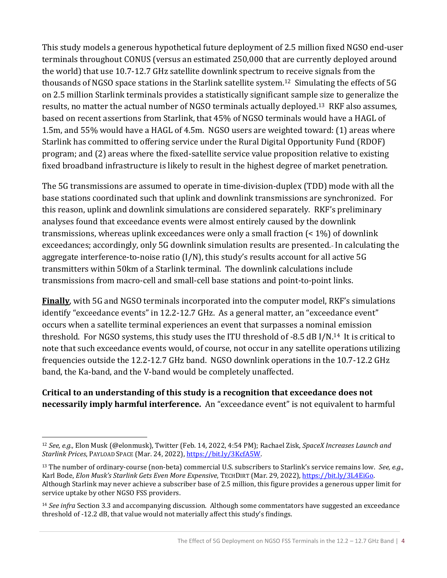This study models a generous hypothetical future deployment of 2.5 million fixed NGSO end-user terminals throughout CONUS (versus an estimated 250,000 that are currently deployed around the world) that use 10.7-12.7 GHz satellite downlink spectrum to receive signals from the thousands of NGSO space stations in the Starlink satellite system.12 Simulating the effects of 5G on 2.5 million Starlink terminals provides a statistically significant sample size to generalize the results, no matter the actual number of NGSO terminals actually deployed.13 RKF also assumes, based on recent assertions from Starlink, that 45% of NGSO terminals would have a HAGL of 1.5m, and 55% would have a HAGL of 4.5m. NGSO users are weighted toward: (1) areas where Starlink has committed to offering service under the Rural Digital Opportunity Fund (RDOF) program; and (2) areas where the fixed-satellite service value proposition relative to existing fixed broadband infrastructure is likely to result in the highest degree of market penetration.

The 5G transmissions are assumed to operate in time-division-duplex (TDD) mode with all the base stations coordinated such that uplink and downlink transmissions are synchronized. For this reason, uplink and downlink simulations are considered separately. RKF's preliminary analyses found that exceedance events were almost entirely caused by the downlink transmissions, whereas uplink exceedances were only a small fraction (< 1%) of downlink exceedances; accordingly, only 5G downlink simulation results are presented. In calculating the aggregate interference-to-noise ratio (I/N), this study's results account for all active 5G transmitters within 50km of a Starlink terminal. The downlink calculations include transmissions from macro-cell and small-cell base stations and point-to-point links.

**Finally**, with 5G and NGSO terminals incorporated into the computer model, RKF's simulations identify "exceedance events" in 12.2-12.7 GHz. As a general matter, an "exceedance event" occurs when a satellite terminal experiences an event that surpasses a nominal emission threshold. For NGSO systems, this study uses the ITU threshold of -8.5 dB I/N.14 It is critical to note that such exceedance events would, of course, not occur in any satellite operations utilizing frequencies outside the 12.2-12.7 GHz band. NGSO downlink operations in the 10.7-12.2 GHz band, the Ka-band, and the V-band would be completely unaffected.

#### **Critical to an understanding of this study is a recognition that exceedance does not necessarily imply harmful interference.** An "exceedance event" is not equivalent to harmful

<sup>12</sup> *See, e.g.,* Elon Musk (@elonmusk), Twitter (Feb. 14, 2022, 4:54 PM); Rachael Zisk, *SpaceX Increases Launch and Starlink Prices*, PAYLOAD SPACE (Mar. 24, 2022), [https://bit.ly/3KcfA5W.](https://bit.ly/3KcfA5W)

<sup>13</sup> The number of ordinary-course (non-beta) commercial U.S. subscribers to Starlink's service remains low. *See, e.g.,* Karl Bode, *Elon Musk's Starlink Gets Even More Expensive*, TECHDIRT (Mar. 29, 2022)[, https://bit.ly/3L4EiGo.](https://bit.ly/3L4EiGo)  Although Starlink may never achieve a subscriber base of 2.5 million, this figure provides a generous upper limit for service uptake by other NGSO FSS providers.

<sup>14</sup> *See infra* Section [3.3](#page-32-0) and accompanying discussion. Although some commentators have suggested an exceedance threshold of -12.2 dB, that value would not materially affect this study's findings.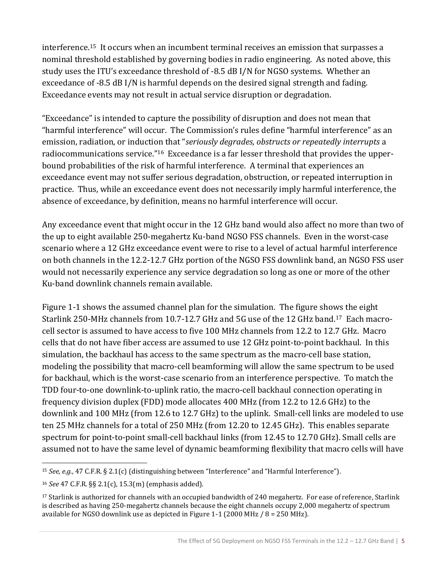interference.15 It occurs when an incumbent terminal receives an emission that surpasses a nominal threshold established by governing bodies in radio engineering. As noted above, this study uses the ITU's exceedance threshold of -8.5 dB I/N for NGSO systems. Whether an exceedance of -8.5 dB I/N is harmful depends on the desired signal strength and fading. Exceedance events may not result in actual service disruption or degradation.

"Exceedance" is intended to capture the possibility of disruption and does not mean that "harmful interference" will occur. The Commission's rules define "harmful interference" as an emission, radiation, or induction that "*seriously degrades, obstructs or repeatedly interrupts* a radiocommunications service."16 Exceedance is a far lesser threshold that provides the upperbound probabilities of the risk of harmful interference. A terminal that experiences an exceedance event may not suffer serious degradation, obstruction, or repeated interruption in practice. Thus, while an exceedance event does not necessarily imply harmful interference, the absence of exceedance, by definition, means no harmful interference will occur.

Any exceedance event that might occur in the 12 GHz band would also affect no more than two of the up to eight available 250-megahertz Ku-band NGSO FSS channels. Even in the worst-case scenario where a 12 GHz exceedance event were to rise to a level of actual harmful interference on both channels in the 12.2-12.7 GHz portion of the NGSO FSS downlink band, an NGSO FSS user would not necessarily experience any service degradation so long as one or more of the other Ku-band downlink channels remain available.

[Figure 1-1](#page-13-1) shows the assumed channel plan for the simulation. The figure shows the eight Starlink 250-MHz channels from 10.7-12.7 GHz and 5G use of the 12 GHz band.17 Each macrocell sector is assumed to have access to five 100 MHz channels from 12.2 to 12.7 GHz. Macro cells that do not have fiber access are assumed to use 12 GHz point-to-point backhaul. In this simulation, the backhaul has access to the same spectrum as the macro-cell base station, modeling the possibility that macro-cell beamforming will allow the same spectrum to be used for backhaul, which is the worst-case scenario from an interference perspective. To match the TDD four-to-one downlink-to-uplink ratio, the macro-cell backhaul connection operating in frequency division duplex (FDD) mode allocates 400 MHz (from 12.2 to 12.6 GHz) to the downlink and 100 MHz (from 12.6 to 12.7 GHz) to the uplink. Small-cell links are modeled to use ten 25 MHz channels for a total of 250 MHz (from 12.20 to 12.45 GHz). This enables separate spectrum for point-to-point small-cell backhaul links (from 12.45 to 12.70 GHz). Small cells are assumed not to have the same level of dynamic beamforming flexibility that macro cells will have

<sup>15</sup> *See, e.g.*, 47 C.F.R. § 2.1(c) (distinguishing between "Interference" and "Harmful Interference").

<sup>16</sup> *See* 47 C.F.R. §§ 2.1(c), 15.3(m) (emphasis added).

<sup>17</sup> Starlink is authorized for channels with an occupied bandwidth of 240 megahertz. For ease of reference, Starlink is described as having 250-megahertz channels because the eight channels occupy 2,000 megahertz of spectrum available for NGSO downlink use as depicted in Figure 1-1 (2000 MHz / 8 = 250 MHz).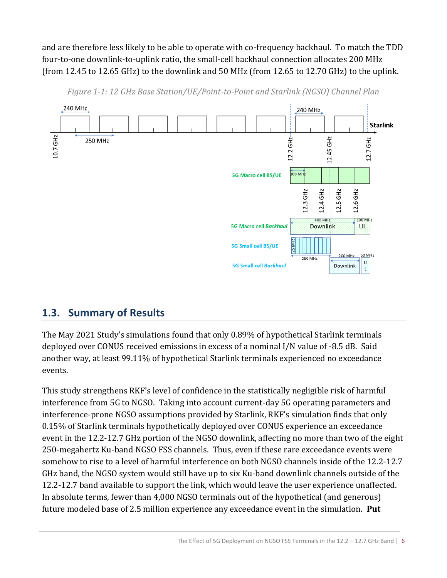and are therefore less likely to be able to operate with co-frequency backhaul. To match the TDD four-to-one downlink-to-uplink ratio, the small-cell backhaul connection allocates 200 MHz (from 12.45 to 12.65 GHz) to the downlink and 50 MHz (from 12.65 to 12.70 GHz) to the uplink.

<span id="page-13-1"></span>

*Figure 1-1: 12 GHz Base Station/UE/Point-to-Point and Starlink (NGSO) Channel Plan*

## <span id="page-13-0"></span>**1.3. Summary of Results**

The May 2021 Study's simulations found that only 0.89% of hypothetical Starlink terminals deployed over CONUS received emissions in excess of a nominal I/N value of -8.5 dB. Said another way, at least 99.11% of hypothetical Starlink terminals experienced no exceedance events.

This study strengthens RKF's level of confidence in the statistically negligible risk of harmful interference from 5G to NGSO. Taking into account current-day 5G operating parameters and interference-prone NGSO assumptions provided by Starlink, RKF's simulation finds that only 0.15% of Starlink terminals hypothetically deployed over CONUS experience an exceedance event in the 12.2-12.7 GHz portion of the NGSO downlink, affecting no more than two of the eight 250-megahertz Ku-band NGSO FSS channels. Thus, even if these rare exceedance events were somehow to rise to a level of harmful interference on both NGSO channels inside of the 12.2-12.7 GHz band, the NGSO system would still have up to six Ku-band downlink channels outside of the 12.2-12.7 band available to support the link, which would leave the user experience unaffected. In absolute terms, fewer than 4,000 NGSO terminals out of the hypothetical (and generous) future modeled base of 2.5 million experience any exceedance event in the simulation. **Put**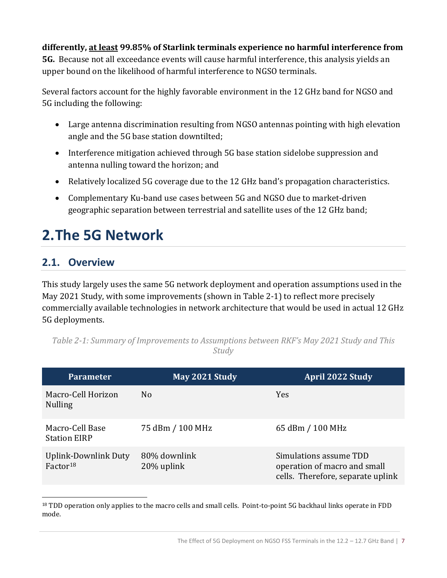#### **differently, at least 99.85% of Starlink terminals experience no harmful interference from**

**5G.** Because not all exceedance events will cause harmful interference, this analysis yields an upper bound on the likelihood of harmful interference to NGSO terminals.

Several factors account for the highly favorable environment in the 12 GHz band for NGSO and 5G including the following:

- Large antenna discrimination resulting from NGSO antennas pointing with high elevation angle and the 5G base station downtilted;
- Interference mitigation achieved through 5G base station sidelobe suppression and antenna nulling toward the horizon; and
- Relatively localized 5G coverage due to the 12 GHz band's propagation characteristics.
- Complementary Ku-band use cases between 5G and NGSO due to market-driven geographic separation between terrestrial and satellite uses of the 12 GHz band;

# <span id="page-14-0"></span>**2.The 5G Network**

### <span id="page-14-1"></span>**2.1. Overview**

This study largely uses the same 5G network deployment and operation assumptions used in the May 2021 Study, with some improvements (shown in [Table 2-1\)](#page-14-2) to reflect more precisely commercially available technologies in network architecture that would be used in actual 12 GHz 5G deployments.

| <b>Parameter</b>                             | May 2021 Study             | <b>April 2022 Study</b>                                                                     |
|----------------------------------------------|----------------------------|---------------------------------------------------------------------------------------------|
| Macro-Cell Horizon<br><b>Nulling</b>         | No                         | Yes                                                                                         |
| Macro-Cell Base<br><b>Station EIRP</b>       | 75 dBm / 100 MHz           | 65 dBm / 100 MHz                                                                            |
| Uplink-Downlink Duty<br>Factor <sup>18</sup> | 80% downlink<br>20% uplink | Simulations assume TDD<br>operation of macro and small<br>cells. Therefore, separate uplink |

<span id="page-14-2"></span>*Table 2-1: Summary of Improvements to Assumptions between RKF's May 2021 Study and This Study*

<sup>&</sup>lt;sup>18</sup> TDD operation only applies to the macro cells and small cells. Point-to-point 5G backhaul links operate in FDD mode.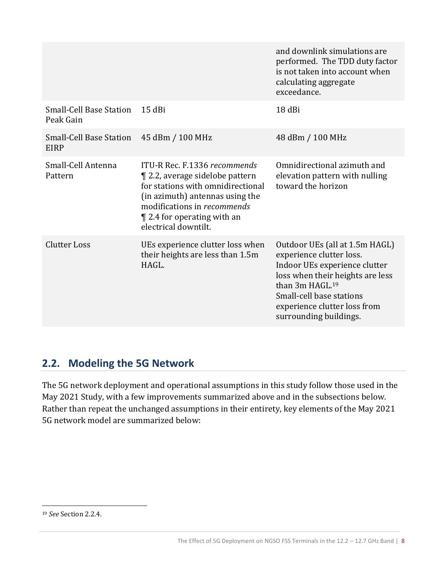|                                               |                                                                                                                                                                                                                                                | and downlink simulations are<br>performed. The TDD duty factor<br>is not taken into account when<br>calculating aggregate<br>exceedance.                                                                                                             |
|-----------------------------------------------|------------------------------------------------------------------------------------------------------------------------------------------------------------------------------------------------------------------------------------------------|------------------------------------------------------------------------------------------------------------------------------------------------------------------------------------------------------------------------------------------------------|
| <b>Small-Cell Base Station</b><br>Peak Gain   | $15$ dBi                                                                                                                                                                                                                                       | 18 dBi                                                                                                                                                                                                                                               |
| <b>Small-Cell Base Station</b><br><b>EIRP</b> | 45 dBm / 100 MHz                                                                                                                                                                                                                               | 48 dBm / 100 MHz                                                                                                                                                                                                                                     |
| Small-Cell Antenna<br>Pattern                 | ITU-R Rec. F.1336 recommends<br><b>T</b> 2.2, average sidelobe pattern<br>for stations with omnidirectional<br>(in azimuth) antennas using the<br>modifications in <i>recommends</i><br>$\P$ 2.4 for operating with an<br>electrical downtilt. | Omnidirectional azimuth and<br>elevation pattern with nulling<br>toward the horizon                                                                                                                                                                  |
| <b>Clutter Loss</b>                           | UEs experience clutter loss when<br>their heights are less than 1.5m<br>HAGL.                                                                                                                                                                  | Outdoor UEs (all at 1.5m HAGL)<br>experience clutter loss.<br>Indoor UEs experience clutter<br>loss when their heights are less<br>than 3m HAGL. <sup>19</sup><br>Small-cell base stations<br>experience clutter loss from<br>surrounding buildings. |

## <span id="page-15-0"></span>**2.2. Modeling the 5G Network**

The 5G network deployment and operational assumptions in this study follow those used in the May 2021 Study, with a few improvements summarized above and in the subsections below. Rather than repeat the unchanged assumptions in their entirety, key elements of the May 2021 5G network model are summarized below:

<sup>19</sup> *See* Sectio[n 2.2.4.](#page-23-0)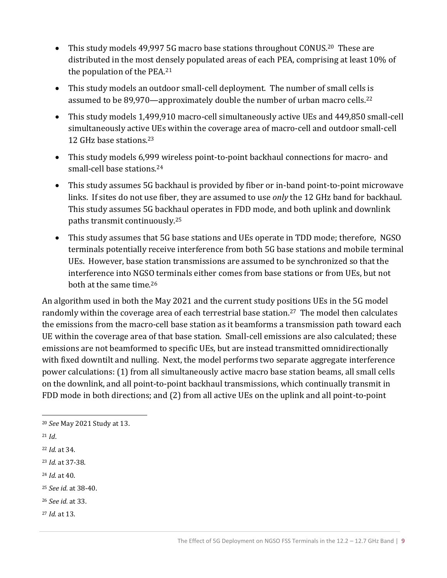- This study models 49,997 5G macro base stations throughout CONUS.<sup>20</sup> These are distributed in the most densely populated areas of each PEA, comprising at least 10% of the population of the PEA.<sup>21</sup>
- This study models an outdoor small-cell deployment. The number of small cells is assumed to be 89,970—approximately double the number of urban macro cells.<sup>22</sup>
- This study models 1,499,910 macro-cell simultaneously active UEs and 449,850 small-cell simultaneously active UEs within the coverage area of macro-cell and outdoor small-cell 12 GHz base stations.<sup>23</sup>
- This study models 6,999 wireless point-to-point backhaul connections for macro- and small-cell base stations.<sup>24</sup>
- This study assumes 5G backhaul is provided by fiber or in-band point-to-point microwave links. If sites do not use fiber, they are assumed to use *only* the 12 GHz band for backhaul. This study assumes 5G backhaul operates in FDD mode, and both uplink and downlink paths transmit continuously.<sup>25</sup>
- This study assumes that 5G base stations and UEs operate in TDD mode; therefore, NGSO terminals potentially receive interference from both 5G base stations and mobile terminal UEs. However, base station transmissions are assumed to be synchronized so that the interference into NGSO terminals either comes from base stations or from UEs, but not both at the same time.<sup>26</sup>

An algorithm used in both the May 2021 and the current study positions UEs in the 5G model randomly within the coverage area of each terrestrial base station.<sup>27</sup> The model then calculates the emissions from the macro-cell base station as it beamforms a transmission path toward each UE within the coverage area of that base station. Small-cell emissions are also calculated; these emissions are not beamformed to specific UEs, but are instead transmitted omnidirectionally with fixed downtilt and nulling. Next, the model performs two separate aggregate interference power calculations: (1) from all simultaneously active macro base station beams, all small cells on the downlink, and all point-to-point backhaul transmissions, which continually transmit in FDD mode in both directions; and (2) from all active UEs on the uplink and all point-to-point

- <sup>24</sup> *Id.* at 40.
- <sup>25</sup> *See id.* at 38-40.
- <sup>26</sup> *See id.* at 33.
- <sup>27</sup> *Id.* at 13.

<sup>20</sup> *See* May 2021 Study at 13.

<sup>21</sup> *Id*.

<sup>22</sup> *Id.* at 34.

<sup>23</sup> *Id.* at 37-38.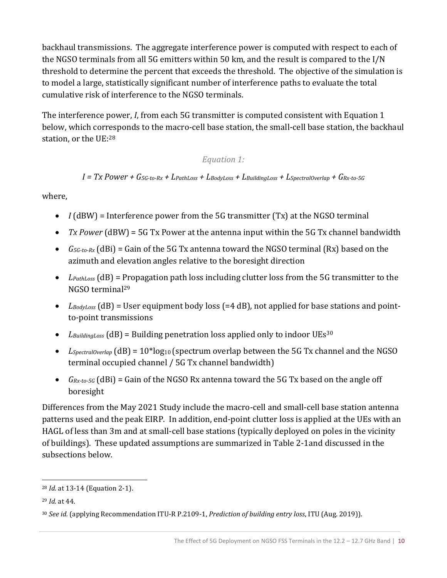backhaul transmissions. The aggregate interference power is computed with respect to each of the NGSO terminals from all 5G emitters within 50 km, and the result is compared to the I/N threshold to determine the percent that exceeds the threshold. The objective of the simulation is to model a large, statistically significant number of interference paths to evaluate the total cumulative risk of interference to the NGSO terminals.

The interference power, *I*, from each 5G transmitter is computed consistent with [Equation 1](#page-17-0) below, which corresponds to the macro-cell base station, the small-cell base station, the backhaul station, or the UE:<sup>28</sup>

*Equation 1:* 

#### *I = Tx Power + G5G-to-Rx + LPathLoss + LBodyLoss + LBuildingLoss + LSpectralOverlap + GRx-to-5G*

<span id="page-17-0"></span>where,

- *I* (dBW) = Interference power from the 5G transmitter (Tx) at the NGSO terminal
- *Tx Power* (dBW) = 5G Tx Power at the antenna input within the 5G Tx channel bandwidth
- *G5G-to-Rx* (dBi) = Gain of the 5G Tx antenna toward the NGSO terminal (Rx) based on the azimuth and elevation angles relative to the boresight direction
- *LPathLoss* (dB) = Propagation path loss including clutter loss from the 5G transmitter to the NGSO terminal<sup>29</sup>
- *LBodyLoss* (dB) = User equipment body loss (=4 dB), not applied for base stations and pointto-point transmissions
- *LBuildingLoss* (dB) = Building penetration loss applied only to indoor UEs<sup>30</sup>
- *L<sub>SpectralOverlap* (dB) = 10<sup>\*</sup>log<sub>10</sub> (spectrum overlap between the 5G Tx channel and the NGSO</sub> terminal occupied channel / 5G Tx channel bandwidth)
- *GRx-to-5G* (dBi) = Gain of the NGSO Rx antenna toward the 5G Tx based on the angle off boresight

Differences from the May 2021 Study include the macro-cell and small-cell base station antenna patterns used and the peak EIRP. In addition, end-point clutter loss is applied at the UEs with an HAGL of less than 3m and at small-cell base stations (typically deployed on poles in the vicinity of buildings). These updated assumptions are summarized in [Table 2-1a](#page-14-2)nd discussed in the subsections below.

<sup>28</sup> *Id.* at 13-14 (Equation 2-1).

<sup>29</sup> *Id.* at 44.

<sup>30</sup> *See id.* (applying Recommendation ITU-R P.2109-1, *Prediction of building entry loss*, ITU (Aug. 2019)).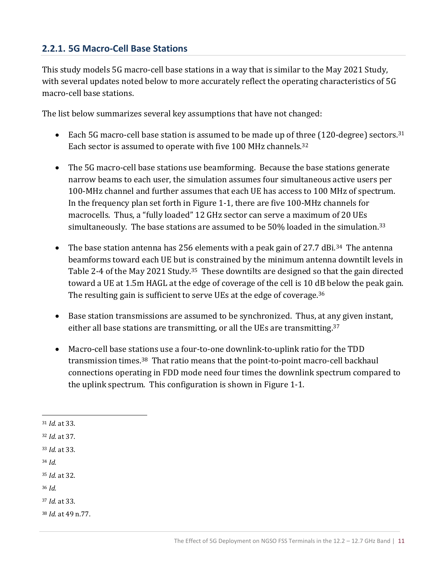#### <span id="page-18-0"></span>**2.2.1. 5G Macro-Cell Base Stations**

This study models 5G macro-cell base stations in a way that is similar to the May 2021 Study, with several updates noted below to more accurately reflect the operating characteristics of 5G macro-cell base stations.

The list below summarizes several key assumptions that have not changed:

- Each 5G macro-cell base station is assumed to be made up of three  $(120$ -degree) sectors.<sup>31</sup> Each sector is assumed to operate with five 100 MHz channels.<sup>32</sup>
- The 5G macro-cell base stations use beamforming. Because the base stations generate narrow beams to each user, the simulation assumes four simultaneous active users per 100-MHz channel and further assumes that each UE has access to 100 MHz of spectrum. In the frequency plan set forth in [Figure 1-1,](#page-13-1) there are five 100-MHz channels for macrocells. Thus, a "fully loaded" 12 GHz sector can serve a maximum of 20 UEs simultaneously. The base stations are assumed to be 50% loaded in the simulation.<sup>33</sup>
- The base station antenna has 256 elements with a peak gain of 27.7 dBi.<sup>34</sup> The antenna beamforms toward each UE but is constrained by the minimum antenna downtilt levels in Table 2-4 of the May 2021 Study.<sup>35</sup> These downtilts are designed so that the gain directed toward a UE at 1.5m HAGL at the edge of coverage of the cell is 10 dB below the peak gain. The resulting gain is sufficient to serve UEs at the edge of coverage.<sup>36</sup>
- Base station transmissions are assumed to be synchronized. Thus, at any given instant, either all base stations are transmitting, or all the UEs are transmitting.<sup>37</sup>
- Macro-cell base stations use a four-to-one downlink-to-uplink ratio for the TDD transmission times.38 That ratio means that the point-to-point macro-cell backhaul connections operating in FDD mode need four times the downlink spectrum compared to the uplink spectrum. This configuration is shown in [Figure 1-1.](#page-13-1)

<sup>37</sup> *Id.* at 33.

<sup>38</sup> *Id.* at 49 n.77.

<sup>31</sup> *Id.* at 33.

<sup>32</sup> *Id.* at 37.

<sup>33</sup> *Id.* at 33.

<sup>34</sup> *Id.*

<sup>35</sup> *Id.* at 32.

<sup>36</sup> *Id.*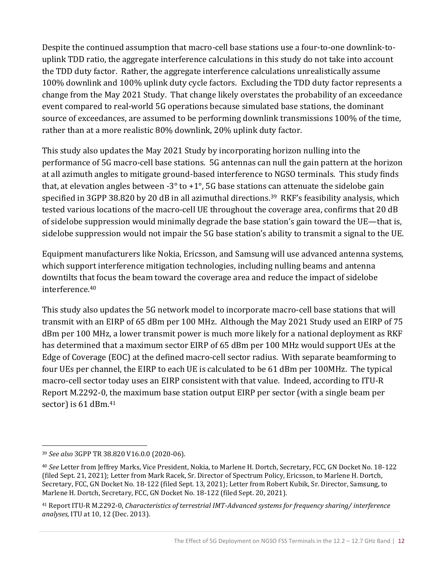Despite the continued assumption that macro-cell base stations use a four-to-one downlink-touplink TDD ratio, the aggregate interference calculations in this study do not take into account the TDD duty factor. Rather, the aggregate interference calculations unrealistically assume 100% downlink and 100% uplink duty cycle factors. Excluding the TDD duty factor represents a change from the May 2021 Study. That change likely overstates the probability of an exceedance event compared to real-world 5G operations because simulated base stations, the dominant source of exceedances, are assumed to be performing downlink transmissions 100% of the time, rather than at a more realistic 80% downlink, 20% uplink duty factor.

This study also updates the May 2021 Study by incorporating horizon nulling into the performance of 5G macro-cell base stations. 5G antennas can null the gain pattern at the horizon at all azimuth angles to mitigate ground-based interference to NGSO terminals. This study finds that, at elevation angles between  $-3^{\circ}$  to  $+1^{\circ}$ , 5G base stations can attenuate the sidelobe gain specified in 3GPP 38.820 by 20 dB in all azimuthal directions.<sup>39</sup> RKF's feasibility analysis, which tested various locations of the macro-cell UE throughout the coverage area, confirms that 20 dB of sidelobe suppression would minimally degrade the base station's gain toward the UE—that is, sidelobe suppression would not impair the 5G base station's ability to transmit a signal to the UE.

Equipment manufacturers like Nokia, Ericsson, and Samsung will use advanced antenna systems, which support interference mitigation technologies, including nulling beams and antenna downtilts that focus the beam toward the coverage area and reduce the impact of sidelobe interference.<sup>40</sup>

This study also updates the 5G network model to incorporate macro-cell base stations that will transmit with an EIRP of 65 dBm per 100 MHz. Although the May 2021 Study used an EIRP of 75 dBm per 100 MHz, a lower transmit power is much more likely for a national deployment as RKF has determined that a maximum sector EIRP of 65 dBm per 100 MHz would support UEs at the Edge of Coverage (EOC) at the defined macro-cell sector radius. With separate beamforming to four UEs per channel, the EIRP to each UE is calculated to be 61 dBm per 100MHz. The typical macro-cell sector today uses an EIRP consistent with that value. Indeed, according to ITU-R Report M.2292-0, the maximum base station output EIRP per sector (with a single beam per sector) is 61 dBm.<sup>41</sup>

<sup>39</sup> *See also* 3GPP TR 38.820 V16.0.0 (2020-06).

<sup>40</sup> *See* Letter from Jeffrey Marks, Vice President, Nokia, to Marlene H. Dortch, Secretary, FCC, GN Docket No. 18-122 (filed Sept. 21, 2021); Letter from Mark Racek, Sr. Director of Spectrum Policy, Ericsson, to Marlene H. Dortch, Secretary, FCC, GN Docket No. 18-122 (filed Sept. 13, 2021); Letter from Robert Kubik, Sr. Director, Samsung, to Marlene H. Dortch, Secretary, FCC, GN Docket No. 18-122 (filed Sept. 20, 2021).

<sup>41</sup> Report ITU-R M.2292-0, *Characteristics of terrestrial IMT-Advanced systems for frequency sharing/ interference analyses*, ITU at 10, 12 (Dec. 2013).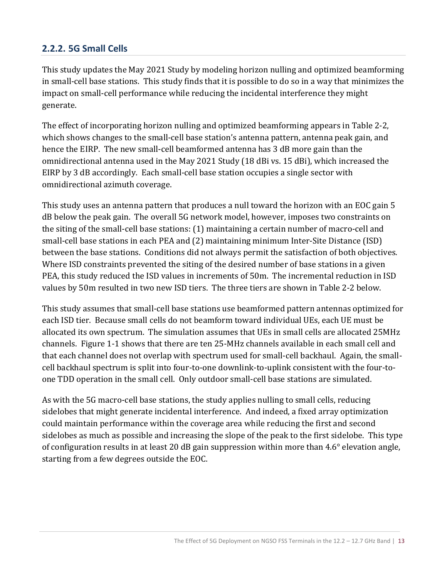#### <span id="page-20-0"></span>**2.2.2. 5G Small Cells**

This study updates the May 2021 Study by modeling horizon nulling and optimized beamforming in small-cell base stations. This study finds that it is possible to do so in a way that minimizes the impact on small-cell performance while reducing the incidental interference they might generate.

The effect of incorporating horizon nulling and optimized beamforming appears in [Table 2-2,](#page-21-0) which shows changes to the small-cell base station's antenna pattern, antenna peak gain, and hence the EIRP. The new small-cell beamformed antenna has 3 dB more gain than the omnidirectional antenna used in the May 2021 Study (18 dBi vs. 15 dBi), which increased the EIRP by 3 dB accordingly. Each small-cell base station occupies a single sector with omnidirectional azimuth coverage.

This study uses an antenna pattern that produces a null toward the horizon with an EOC gain 5 dB below the peak gain. The overall 5G network model, however, imposes two constraints on the siting of the small-cell base stations: (1) maintaining a certain number of macro-cell and small-cell base stations in each PEA and (2) maintaining minimum Inter-Site Distance (ISD) between the base stations. Conditions did not always permit the satisfaction of both objectives. Where ISD constraints prevented the siting of the desired number of base stations in a given PEA, this study reduced the ISD values in increments of 50m. The incremental reduction in ISD values by 50m resulted in two new ISD tiers. The three tiers are shown in [Table 2-2](#page-21-0) below.

This study assumes that small-cell base stations use beamformed pattern antennas optimized for each ISD tier. Because small cells do not beamform toward individual UEs, each UE must be allocated its own spectrum. The simulation assumes that UEs in small cells are allocated 25MHz channels. [Figure 1-1](#page-13-1) shows that there are ten 25-MHz channels available in each small cell and that each channel does not overlap with spectrum used for small-cell backhaul. Again, the smallcell backhaul spectrum is split into four-to-one downlink-to-uplink consistent with the four-toone TDD operation in the small cell. Only outdoor small-cell base stations are simulated.

As with the 5G macro-cell base stations, the study applies nulling to small cells, reducing sidelobes that might generate incidental interference. And indeed, a fixed array optimization could maintain performance within the coverage area while reducing the first and second sidelobes as much as possible and increasing the slope of the peak to the first sidelobe. This type of configuration results in at least 20 dB gain suppression within more than 4.6° elevation angle, starting from a few degrees outside the EOC.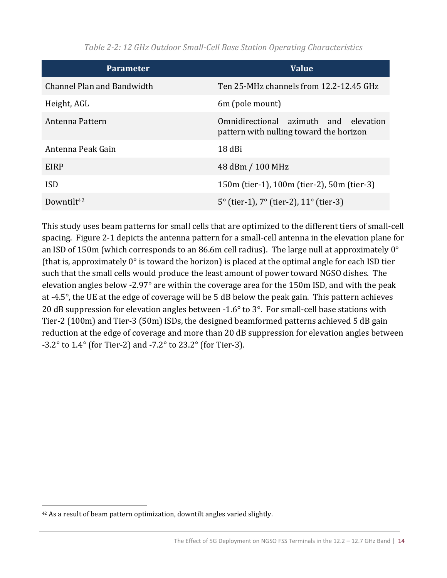<span id="page-21-0"></span>

| <b>Parameter</b>           | <b>Value</b>                                                                     |  |
|----------------------------|----------------------------------------------------------------------------------|--|
| Channel Plan and Bandwidth | Ten 25-MHz channels from 12.2-12.45 GHz                                          |  |
| Height, AGL                | 6m (pole mount)                                                                  |  |
| Antenna Pattern            | Omnidirectional azimuth and elevation<br>pattern with nulling toward the horizon |  |
| Antenna Peak Gain          | 18 dBi                                                                           |  |
| EIRP                       | 48 dBm / 100 MHz                                                                 |  |
| <b>ISD</b>                 | 150m (tier-1), 100m (tier-2), 50m (tier-3)                                       |  |
| Downtilt <sup>42</sup>     | $5^{\circ}$ (tier-1), $7^{\circ}$ (tier-2), $11^{\circ}$ (tier-3)                |  |

*Table 2-2: 12 GHz Outdoor Small-Cell Base Station Operating Characteristics*

This study uses beam patterns for small cells that are optimized to the different tiers of small-cell spacing. [Figure 2-1](#page-22-1) depicts the antenna pattern for a small-cell antenna in the elevation plane for an ISD of 150m (which corresponds to an 86.6m cell radius). The large null at approximately 0° (that is, approximately 0° is toward the horizon) is placed at the optimal angle for each ISD tier such that the small cells would produce the least amount of power toward NGSO dishes. The elevation angles below -2.97° are within the coverage area for the 150m ISD, and with the peak at -4.5°, the UE at the edge of coverage will be 5 dB below the peak gain. This pattern achieves 20 dB suppression for elevation angles between -1.6 $\degree$  to 3 $\degree$ . For small-cell base stations with Tier-2 (100m) and Tier-3 (50m) ISDs, the designed beamformed patterns achieved 5 dB gain reduction at the edge of coverage and more than 20 dB suppression for elevation angles between  $-3.2^{\circ}$  to 1.4° (for Tier-2) and  $-7.2^{\circ}$  to 23.2° (for Tier-3).

<sup>&</sup>lt;sup>42</sup> As a result of beam pattern optimization, downtilt angles varied slightly.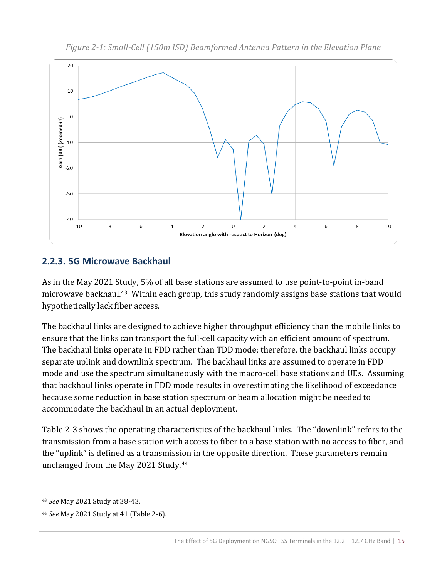<span id="page-22-1"></span>

*Figure 2-1: Small-Cell (150m ISD) Beamformed Antenna Pattern in the Elevation Plane*

### <span id="page-22-0"></span>**2.2.3. 5G Microwave Backhaul**

As in the May 2021 Study, 5% of all base stations are assumed to use point-to-point in-band microwave backhaul.43 Within each group, this study randomly assigns base stations that would hypothetically lack fiber access.

The backhaul links are designed to achieve higher throughput efficiency than the mobile links to ensure that the links can transport the full-cell capacity with an efficient amount of spectrum. The backhaul links operate in FDD rather than TDD mode; therefore, the backhaul links occupy separate uplink and downlink spectrum. The backhaul links are assumed to operate in FDD mode and use the spectrum simultaneously with the macro-cell base stations and UEs. Assuming that backhaul links operate in FDD mode results in overestimating the likelihood of exceedance because some reduction in base station spectrum or beam allocation might be needed to accommodate the backhaul in an actual deployment.

[Table 2-3](#page-23-1) shows the operating characteristics of the backhaul links. The "downlink" refers to the transmission from a base station with access to fiber to a base station with no access to fiber, and the "uplink" is defined as a transmission in the opposite direction. These parameters remain unchanged from the May 2021 Study.<sup>44</sup>

<sup>43</sup> *See* May 2021 Study at 38-43.

<sup>44</sup> *See* May 2021 Study at 41 (Table 2-6).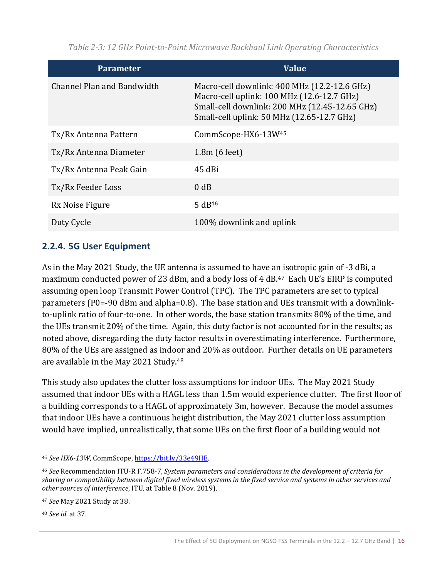<span id="page-23-1"></span>**Parameter Value** Channel Plan and Bandwidth Macro-cell downlink: 400 MHz (12.2-12.6 GHz) Macro-cell uplink: 100 MHz (12.6-12.7 GHz) Small-cell downlink: 200 MHz (12.45-12.65 GHz) Small-cell uplink: 50 MHz (12.65-12.7 GHz) Tx/Rx Antenna Pattern CommScope-HX6-13W<sup>45</sup> Tx/Rx Antenna Diameter 1.8m (6 feet) Tx/Rx Antenna Peak Gain 45 dBi Tx/Rx Feeder Loss 0 dB  $Rx$  Noise Figure 5 dB<sup>46</sup> Duty Cycle 200% downlink and uplink

*Table 2-3: 12 GHz Point-to-Point Microwave Backhaul Link Operating Characteristics*

#### <span id="page-23-0"></span>**2.2.4. 5G User Equipment**

As in the May 2021 Study, the UE antenna is assumed to have an isotropic gain of -3 dBi, a maximum conducted power of 23 dBm, and a body loss of 4 dB.<sup>47</sup> Each UE's EIRP is computed assuming open loop Transmit Power Control (TPC). The TPC parameters are set to typical parameters (P0=-90 dBm and alpha=0.8). The base station and UEs transmit with a downlinkto-uplink ratio of four-to-one. In other words, the base station transmits 80% of the time, and the UEs transmit 20% of the time. Again, this duty factor is not accounted for in the results; as noted above, disregarding the duty factor results in overestimating interference. Furthermore, 80% of the UEs are assigned as indoor and 20% as outdoor. Further details on UE parameters are available in the May 2021 Study.<sup>48</sup>

This study also updates the clutter loss assumptions for indoor UEs. The May 2021 Study assumed that indoor UEs with a HAGL less than 1.5m would experience clutter. The first floor of a building corresponds to a HAGL of approximately 3m, however. Because the model assumes that indoor UEs have a continuous height distribution, the May 2021 clutter loss assumption would have implied, unrealistically, that some UEs on the first floor of a building would not

<sup>48</sup> *See id.* at 37.

<sup>45</sup> *See HX6-13W*, CommScope[, https://bit.ly/33e49HE.](https://bit.ly/33e49HE)

<sup>46</sup> *See* Recommendation ITU-R F.758-7, *System parameters and considerations in the development of criteria for sharing or compatibility between digital fixed wireless systems in the fixed service and systems in other services and other sources of interference*, ITU, at Table 8 (Nov. 2019).

<sup>47</sup> *See* May 2021 Study at 38.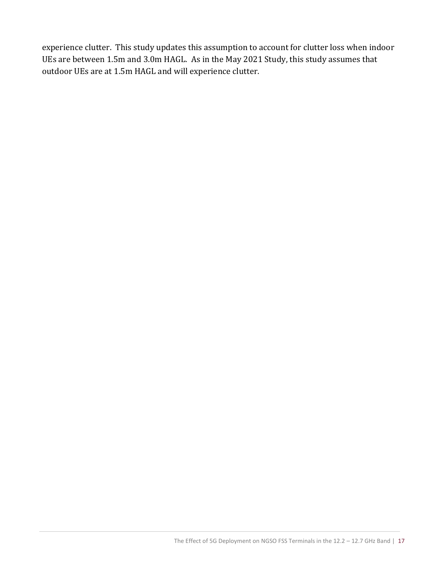experience clutter. This study updates this assumption to account for clutter loss when indoor UEs are between 1.5m and 3.0m HAGL. As in the May 2021 Study, this study assumes that outdoor UEs are at 1.5m HAGL and will experience clutter.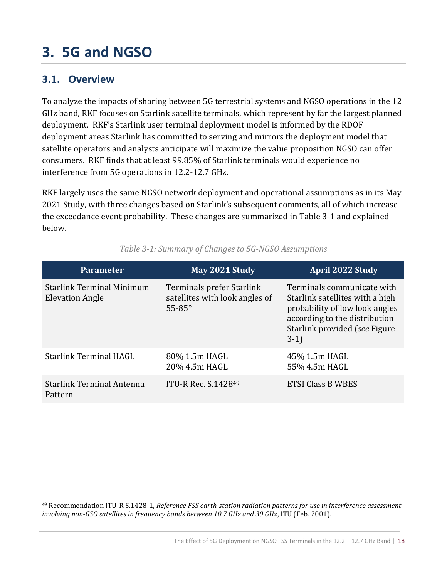# <span id="page-25-0"></span>**3. 5G and NGSO**

### <span id="page-25-1"></span>**3.1. Overview**

To analyze the impacts of sharing between 5G terrestrial systems and NGSO operations in the 12 GHz band, RKF focuses on Starlink satellite terminals, which represent by far the largest planned deployment. RKF's Starlink user terminal deployment model is informed by the RDOF deployment areas Starlink has committed to serving and mirrors the deployment model that satellite operators and analysts anticipate will maximize the value proposition NGSO can offer consumers. RKF finds that at least 99.85% of Starlink terminals would experience no interference from 5G operations in 12.2-12.7 GHz.

RKF largely uses the same NGSO network deployment and operational assumptions as in its May 2021 Study, with three changes based on Starlink's subsequent comments, all of which increase the exceedance event probability. These changes are summarized in [Table 3-1](#page-25-2) and explained below.

<span id="page-25-2"></span>

| <b>Parameter</b>                                           | May 2021 Study                                                               | <b>April 2022 Study</b>                                                                                                                                                     |
|------------------------------------------------------------|------------------------------------------------------------------------------|-----------------------------------------------------------------------------------------------------------------------------------------------------------------------------|
| <b>Starlink Terminal Minimum</b><br><b>Elevation Angle</b> | Terminals prefer Starlink<br>satellites with look angles of<br>$55-85^\circ$ | Terminals communicate with<br>Starlink satellites with a high<br>probability of low look angles<br>according to the distribution<br>Starlink provided (see Figure<br>$3-1)$ |
| <b>Starlink Terminal HAGL</b>                              | 80% 1.5m HAGL<br>20% 4.5m HAGL                                               | 45% 1.5m HAGL<br>55% 4.5m HAGL                                                                                                                                              |
| <b>Starlink Terminal Antenna</b><br>Pattern                | ITU-R Rec. S.142849                                                          | ETSI Class B WBES                                                                                                                                                           |

*Table 3-1: Summary of Changes to 5G-NGSO Assumptions*

<sup>49</sup> Recommendation ITU-R S.1428-1, *Reference FSS earth-station radiation patterns for use in interference assessment involving non-GSO satellites in frequency bands between 10.7 GHz and 30 GHz*, ITU (Feb. 2001).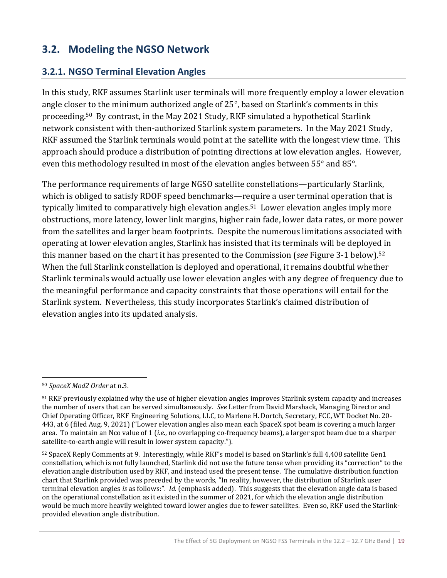## <span id="page-26-0"></span>**3.2. Modeling the NGSO Network**

#### <span id="page-26-1"></span>**3.2.1. NGSO Terminal Elevation Angles**

In this study, RKF assumes Starlink user terminals will more frequently employ a lower elevation angle closer to the minimum authorized angle of 25°, based on Starlink's comments in this proceeding.50 By contrast, in the May 2021 Study, RKF simulated a hypothetical Starlink network consistent with then-authorized Starlink system parameters. In the May 2021 Study, RKF assumed the Starlink terminals would point at the satellite with the longest view time. This approach should produce a distribution of pointing directions at low elevation angles. However, even this methodology resulted in most of the elevation angles between 55° and 85°.

The performance requirements of large NGSO satellite constellations—particularly Starlink, which is obliged to satisfy RDOF speed benchmarks—require a user terminal operation that is typically limited to comparatively high elevation angles.<sup>51</sup> Lower elevation angles imply more obstructions, more latency, lower link margins, higher rain fade, lower data rates, or more power from the satellites and larger beam footprints. Despite the numerous limitations associated with operating at lower elevation angles, Starlink has insisted that its terminals will be deployed in this manner based on the chart it has presented to the Commission (*see* [Figure 3-1](#page-27-1) below).<sup>52</sup> When the full Starlink constellation is deployed and operational, it remains doubtful whether Starlink terminals would actually use lower elevation angles with any degree of frequency due to the meaningful performance and capacity constraints that those operations will entail for the Starlink system. Nevertheless, this study incorporates Starlink's claimed distribution of elevation angles into its updated analysis.

<sup>50</sup> *SpaceX Mod2 Order* at n.3.

<sup>51</sup> RKF previously explained why the use of higher elevation angles improves Starlink system capacity and increases the number of users that can be served simultaneously. *See* Letter from David Marshack, Managing Director and Chief Operating Officer, RKF Engineering Solutions, LLC, to Marlene H. Dortch, Secretary, FCC, WT Docket No. 20- 443, at 6 (filed Aug. 9, 2021) ("Lower elevation angles also mean each SpaceX spot beam is covering a much larger area. To maintain an Nco value of 1 (*i.e*., no overlapping co-frequency beams), a larger spot beam due to a sharper satellite-to-earth angle will result in lower system capacity.").

<sup>52</sup> SpaceX Reply Comments at 9. Interestingly, while RKF's model is based on Starlink's full 4,408 satellite Gen1 constellation, which is not fully launched, Starlink did not use the future tense when providing its "correction" to the elevation angle distribution used by RKF, and instead used the present tense. The cumulative distribution function chart that Starlink provided was preceded by the words, "In reality, however, the distribution of Starlink user terminal elevation angles *is* as follows:". *Id.* (emphasis added). This suggests that the elevation angle data is based on the operational constellation as it existed in the summer of 2021, for which the elevation angle distribution would be much more heavily weighted toward lower angles due to fewer satellites. Even so, RKF used the Starlinkprovided elevation angle distribution.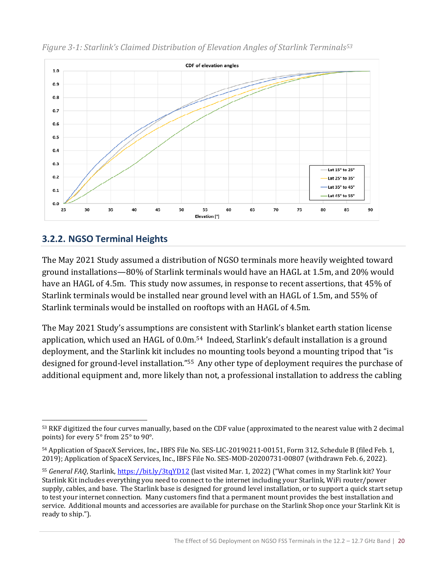

<span id="page-27-1"></span>*Figure 3-1: Starlink's Claimed Distribution of Elevation Angles of Starlink Terminals<sup>53</sup>*

#### <span id="page-27-0"></span>**3.2.2. NGSO Terminal Heights**

The May 2021 Study assumed a distribution of NGSO terminals more heavily weighted toward ground installations—80% of Starlink terminals would have an HAGL at 1.5m, and 20% would have an HAGL of 4.5m. This study now assumes, in response to recent assertions, that 45% of Starlink terminals would be installed near ground level with an HAGL of 1.5m, and 55% of Starlink terminals would be installed on rooftops with an HAGL of 4.5m.

The May 2021 Study's assumptions are consistent with Starlink's blanket earth station license application, which used an HAGL of 0.0m.<sup>54</sup> Indeed, Starlink's default installation is a ground deployment, and the Starlink kit includes no mounting tools beyond a mounting tripod that "is designed for ground-level installation."55 Any other type of deployment requires the purchase of additional equipment and, more likely than not, a professional installation to address the cabling

<sup>53</sup> RKF digitized the four curves manually, based on the CDF value (approximated to the nearest value with 2 decimal points) for every 5° from 25° to 90°.

<sup>54</sup> Application of SpaceX Services, Inc., IBFS File No. SES-LIC-20190211-00151, Form 312, Schedule B (filed Feb. 1, 2019); Application of SpaceX Services, Inc., IBFS File No. SES-MOD-20200731-00807 (withdrawn Feb. 6, 2022).

<sup>55</sup> *General FAQ*, Starlink,<https://bit.ly/3tqYD12> (last visited Mar. 1, 2022) ("What comes in my Starlink kit? Your Starlink Kit includes everything you need to connect to the internet including your Starlink, WiFi router/power supply, cables, and base. The Starlink base is designed for ground level installation, or to support a quick start setup to test your internet connection. Many customers find that a permanent mount provides the best installation and service. Additional mounts and accessories are available for purchase on the Starlink Shop once your Starlink Kit is ready to ship.").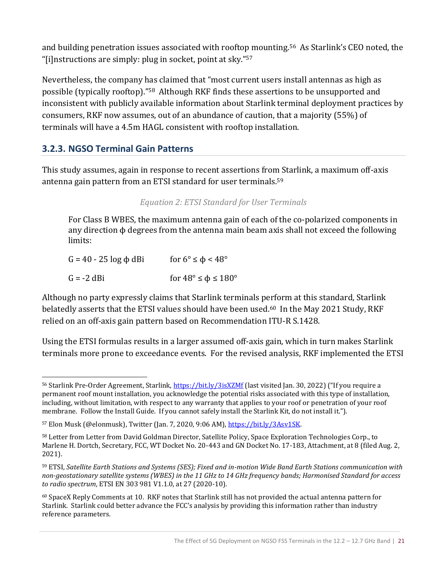and building penetration issues associated with rooftop mounting.<sup>56</sup> As Starlink's CEO noted, the "[i]nstructions are simply: plug in socket, point at sky."<sup>57</sup>

Nevertheless, the company has claimed that "most current users install antennas as high as possible (typically rooftop)."58 Although RKF finds these assertions to be unsupported and inconsistent with publicly available information about Starlink terminal deployment practices by consumers, RKF now assumes, out of an abundance of caution, that a majority (55%) of terminals will have a 4.5m HAGL consistent with rooftop installation.

#### <span id="page-28-0"></span>**3.2.3. NGSO Terminal Gain Patterns**

This study assumes, again in response to recent assertions from Starlink, a maximum off-axis antenna gain pattern from an ETSI standard for user terminals.<sup>59</sup>

#### *Equation 2: ETSI Standard for User Terminals*

For Class B WBES, the maximum antenna gain of each of the co-polarized components in any direction  $\phi$  degrees from the antenna main beam axis shall not exceed the following limits:

| $G = 40 - 25 \log \phi$ dBi | for $6^{\circ} \le \phi < 48^{\circ}$     |
|-----------------------------|-------------------------------------------|
| G = -2 dBi                  | for $48^{\circ} \le \phi \le 180^{\circ}$ |

Although no party expressly claims that Starlink terminals perform at this standard, Starlink belatedly asserts that the ETSI values should have been used.<sup>60</sup> In the May 2021 Study, RKF relied on an off-axis gain pattern based on Recommendation ITU-R S.1428.

Using the ETSI formulas results in a larger assumed off-axis gain, which in turn makes Starlink terminals more prone to exceedance events. For the revised analysis, RKF implemented the ETSI

<sup>56</sup> Starlink Pre-Order Agreement, Starlink[, https://bit.ly/3isXZMf](https://bit.ly/3isXZMf) (last visited Jan. 30, 2022) ("If you require a permanent roof mount installation, you acknowledge the potential risks associated with this type of installation, including, without limitation, with respect to any warranty that applies to your roof or penetration of your roof membrane. Follow the Install Guide. If you cannot safely install the Starlink Kit, do not install it.").

<sup>57</sup> Elon Musk (@elonmusk), Twitter (Jan. 7, 2020, 9:06 AM)[, https://bit.ly/3Asv1SK.](https://bit.ly/3Asv1SK)

<sup>58</sup> Letter from Letter from David Goldman Director, Satellite Policy, Space Exploration Technologies Corp., to Marlene H. Dortch, Secretary, FCC, WT Docket No. 20-443 and GN Docket No. 17-183, Attachment, at 8 (filed Aug. 2, 2021).

<sup>59</sup> ETSI, *Satellite Earth Stations and Systems (SES); Fixed and in-motion Wide Band Earth Stations communication with non-geostationary satellite systems (WBES) in the 11 GHz to 14 GHz frequency bands; Harmonised Standard for access to radio spectrum*, ETSI EN 303 981 V1.1.0, at 27 (2020-10).

<sup>60</sup> SpaceX Reply Comments at 10. RKF notes that Starlink still has not provided the actual antenna pattern for Starlink. Starlink could better advance the FCC's analysis by providing this information rather than industry reference parameters.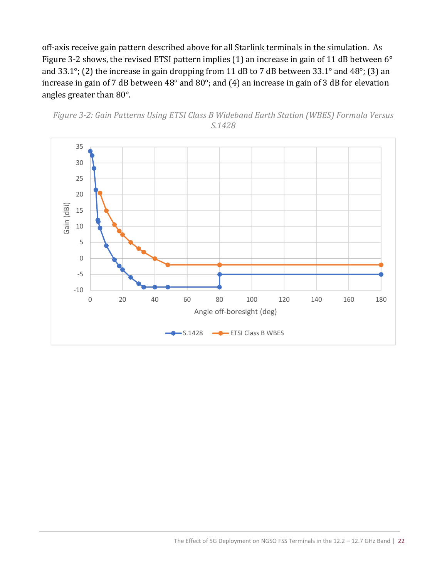off-axis receive gain pattern described above for all Starlink terminals in the simulation. As [Figure 3-2](#page-29-0) shows, the revised ETSI pattern implies (1) an increase in gain of 11 dB between 6° and 33.1°; (2) the increase in gain dropping from 11 dB to 7 dB between 33.1° and 48°; (3) an increase in gain of 7 dB between 48° and 80°; and (4) an increase in gain of 3 dB for elevation angles greater than 80°.



<span id="page-29-0"></span>*Figure 3-2: Gain Patterns Using ETSI Class B Wideband Earth Station (WBES) Formula Versus S.1428*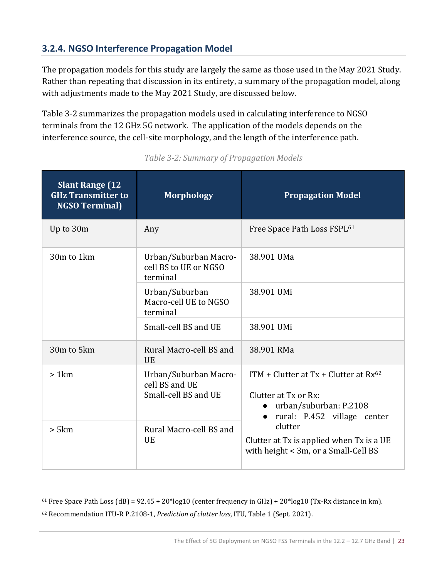#### <span id="page-30-0"></span>**3.2.4. NGSO Interference Propagation Model**

The propagation models for this study are largely the same as those used in the May 2021 Study. Rather than repeating that discussion in its entirety, a summary of the propagation model, along with adjustments made to the May 2021 Study, are discussed below.

[Table 3-2](#page-30-1) summarizes the propagation models used in calculating interference to NGSO terminals from the 12 GHz 5G network. The application of the models depends on the interference source, the cell-site morphology, and the length of the interference path.

<span id="page-30-1"></span>

| <b>Slant Range (12)</b><br><b>GHz Transmitter to</b><br><b>NGSO Terminal)</b> | <b>Morphology</b>                                               | <b>Propagation Model</b>                                                                                                                                                                                                   |  |
|-------------------------------------------------------------------------------|-----------------------------------------------------------------|----------------------------------------------------------------------------------------------------------------------------------------------------------------------------------------------------------------------------|--|
| Up to 30m                                                                     | Any                                                             | Free Space Path Loss FSPL <sup>61</sup>                                                                                                                                                                                    |  |
| 30m to 1km                                                                    | Urban/Suburban Macro-<br>cell BS to UE or NGSO<br>terminal      | 38.901 UMa                                                                                                                                                                                                                 |  |
|                                                                               | Urban/Suburban<br>Macro-cell UE to NGSO<br>terminal             | 38.901 UMi                                                                                                                                                                                                                 |  |
|                                                                               | Small-cell BS and UE                                            | 38.901 UMi                                                                                                                                                                                                                 |  |
| 30m to 5km                                                                    | Rural Macro-cell BS and<br><b>UE</b>                            | 38.901 RMa                                                                                                                                                                                                                 |  |
| >1km                                                                          | Urban/Suburban Macro-<br>cell BS and UE<br>Small-cell BS and UE | ITM + Clutter at Tx + Clutter at $Rx^{62}$<br>Clutter at Tx or Rx:<br>urban/suburban: P.2108<br>rural: P.452 village center<br>clutter<br>Clutter at Tx is applied when Tx is a UE<br>with height < 3m, or a Small-Cell BS |  |
| > 5km                                                                         | Rural Macro-cell BS and<br><b>UE</b>                            |                                                                                                                                                                                                                            |  |

*Table 3-2: Summary of Propagation Models*

 $61$  Free Space Path Loss (dB) = 92.45 + 20\*log10 (center frequency in GHz) + 20\*log10 (Tx-Rx distance in km).

<sup>62</sup> Recommendation ITU-R P.2108-1, *Prediction of clutter loss*, ITU, Table 1 (Sept. 2021).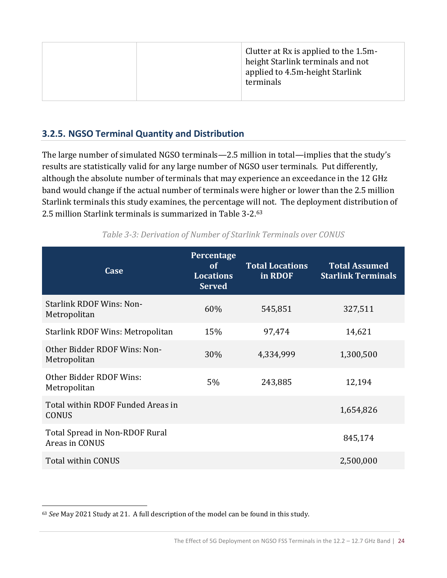#### <span id="page-31-0"></span>**3.2.5. NGSO Terminal Quantity and Distribution**

The large number of simulated NGSO terminals—2.5 million in total—implies that the study's results are statistically valid for any large number of NGSO user terminals. Put differently, although the absolute number of terminals that may experience an exceedance in the 12 GHz band would change if the actual number of terminals were higher or lower than the 2.5 million Starlink terminals this study examines, the percentage will not. The deployment distribution of 2.5 million Starlink terminals is summarized in [Table 3-2.](#page-30-1) 63

| Case                                              | Percentage<br>of<br><b>Locations</b><br><b>Served</b> | <b>Total Locations</b><br>in RDOF | <b>Total Assumed</b><br><b>Starlink Terminals</b> |
|---------------------------------------------------|-------------------------------------------------------|-----------------------------------|---------------------------------------------------|
| <b>Starlink RDOF Wins: Non-</b><br>Metropolitan   | 60%                                                   | 545,851                           | 327,511                                           |
| <b>Starlink RDOF Wins: Metropolitan</b>           | 15%                                                   | 97,474                            | 14,621                                            |
| Other Bidder RDOF Wins: Non-<br>Metropolitan      | 30%                                                   | 4,334,999                         | 1,300,500                                         |
| Other Bidder RDOF Wins:<br>Metropolitan           | $5\%$                                                 | 243,885                           | 12,194                                            |
| Total within RDOF Funded Areas in<br><b>CONUS</b> |                                                       |                                   | 1,654,826                                         |
| Total Spread in Non-RDOF Rural<br>Areas in CONUS  |                                                       |                                   | 845,174                                           |
| Total within CONUS                                |                                                       |                                   | 2,500,000                                         |

*Table 3-3: Derivation of Number of Starlink Terminals over CONUS*

<sup>63</sup> *See* May 2021 Study at 21. A full description of the model can be found in this study.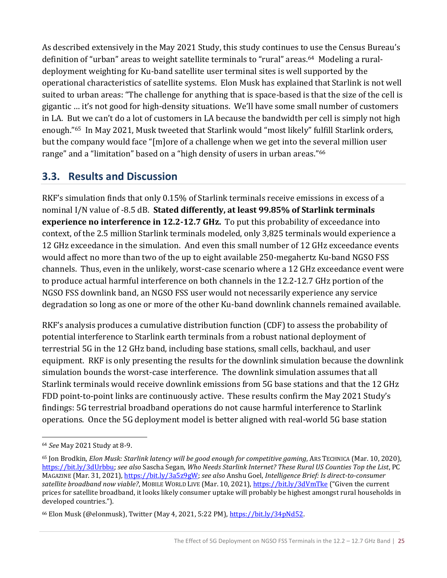As described extensively in the May 2021 Study, this study continues to use the Census Bureau's definition of "urban" areas to weight satellite terminals to "rural" areas.64 Modeling a ruraldeployment weighting for Ku-band satellite user terminal sites is well supported by the operational characteristics of satellite systems. Elon Musk has explained that Starlink is not well suited to urban areas: "The challenge for anything that is space-based is that the size of the cell is gigantic … it's not good for high-density situations. We'll have some small number of customers in LA. But we can't do a lot of customers in LA because the bandwidth per cell is simply not high enough."<sup>65</sup> In May 2021, Musk tweeted that Starlink would "most likely" fulfill Starlink orders, but the company would face "[m]ore of a challenge when we get into the several million user range" and a "limitation" based on a "high density of users in urban areas."<sup>66</sup>

## <span id="page-32-0"></span>**3.3. Results and Discussion**

RKF's simulation finds that only 0.15% of Starlink terminals receive emissions in excess of a nominal I/N value of -8.5 dB. **Stated differently, at least 99.85% of Starlink terminals experience no interference in 12.2-12.7 GHz.** To put this probability of exceedance into context, of the 2.5 million Starlink terminals modeled, only 3,825 terminals would experience a 12 GHz exceedance in the simulation. And even this small number of 12 GHz exceedance events would affect no more than two of the up to eight available 250-megahertz Ku-band NGSO FSS channels. Thus, even in the unlikely, worst-case scenario where a 12 GHz exceedance event were to produce actual harmful interference on both channels in the 12.2-12.7 GHz portion of the NGSO FSS downlink band, an NGSO FSS user would not necessarily experience any service degradation so long as one or more of the other Ku-band downlink channels remained available.

RKF's analysis produces a cumulative distribution function (CDF) to assess the probability of potential interference to Starlink earth terminals from a robust national deployment of terrestrial 5G in the 12 GHz band, including base stations, small cells, backhaul, and user equipment. RKF is only presenting the results for the downlink simulation because the downlink simulation bounds the worst-case interference. The downlink simulation assumes that all Starlink terminals would receive downlink emissions from 5G base stations and that the 12 GHz FDD point-to-point links are continuously active. These results confirm the May 2021 Study's findings: 5G terrestrial broadband operations do not cause harmful interference to Starlink operations. Once the 5G deployment model is better aligned with real-world 5G base station

<sup>64</sup> *See* May 2021 Study at 8-9.

<sup>65</sup> Jon Brodkin, *Elon Musk: Starlink latency will be good enough for competitive gaming*, ARS TECHNICA (Mar. 10, 2020), [https://bit.ly/3dUrbbu;](https://bit.ly/3dUrbbu) *see also* Sascha Segan, *Who Needs Starlink Internet? These Rural US Counties Top the List*, PC MAGAZINE (Mar. 31, 2021)[, https://bit.ly/3a5z9gW;](https://bit.ly/3a5z9gW) *see also* Anshu Goel, *Intelligence Brief: Is direct-to-consumer satellite broadband now viable?*, MOBILE WORLD LIVE (Mar. 10, 2021),<https://bit.ly/3dVmTke> ("Given the current prices for satellite broadband, it looks likely consumer uptake will probably be highest amongst rural households in developed countries.").

<sup>&</sup>lt;sup>66</sup> Elon Musk (@elonmusk), Twitter (May 4, 2021, 5:22 PM)[, https://bit.ly/34pNd52.](https://bit.ly/34pNd52)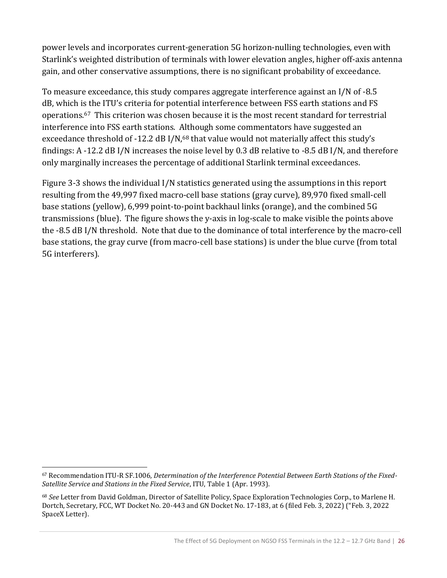power levels and incorporates current-generation 5G horizon-nulling technologies, even with Starlink's weighted distribution of terminals with lower elevation angles, higher off-axis antenna gain, and other conservative assumptions, there is no significant probability of exceedance.

To measure exceedance, this study compares aggregate interference against an I/N of -8.5 dB, which is the ITU's criteria for potential interference between FSS earth stations and FS operations.67 This criterion was chosen because it is the most recent standard for terrestrial interference into FSS earth stations. Although some commentators have suggested an exceedance threshold of -12.2 dB I/N,<sup>68</sup> that value would not materially affect this study's findings: A -12.2 dB I/N increases the noise level by 0.3 dB relative to -8.5 dB I/N, and therefore only marginally increases the percentage of additional Starlink terminal exceedances.

[Figure 3-3](#page-34-0) shows the individual I/N statistics generated using the assumptions in this report resulting from the 49,997 fixed macro-cell base stations (gray curve), 89,970 fixed small-cell base stations (yellow), 6,999 point-to-point backhaul links (orange), and the combined 5G transmissions (blue). The figure shows the y-axis in log-scale to make visible the points above the -8.5 dB I/N threshold. Note that due to the dominance of total interference by the macro-cell base stations, the gray curve (from macro-cell base stations) is under the blue curve (from total 5G interferers).

<sup>67</sup> Recommendation ITU-R SF.1006, *Determination of the Interference Potential Between Earth Stations of the Fixed-Satellite Service and Stations in the Fixed Service*, ITU, Table 1 (Apr. 1993).

<sup>68</sup> *See* Letter from David Goldman, Director of Satellite Policy, Space Exploration Technologies Corp., to Marlene H. Dortch, Secretary, FCC, WT Docket No. 20-443 and GN Docket No. 17-183, at 6 (filed Feb. 3, 2022) ("Feb. 3, 2022 SpaceX Letter).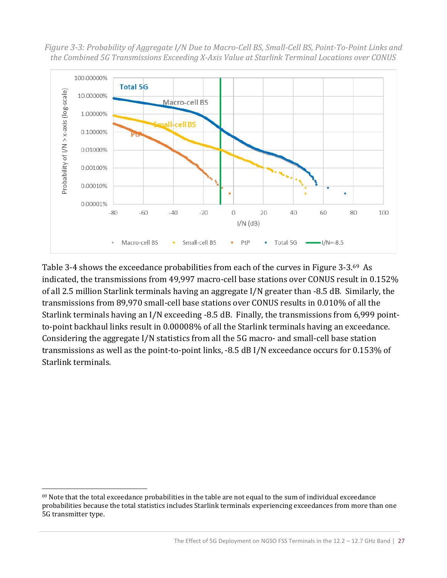<span id="page-34-0"></span>*Figure 3-3: Probability of Aggregate I/N Due to Macro-Cell BS, Small-Cell BS, Point-To-Point Links and the Combined 5G Transmissions Exceeding X-Axis Value at Starlink Terminal Locations over CONUS* 



[Table 3-4](#page-35-1) shows the exceedance probabilities from each of the curves in [Figure 3-3.](#page-34-0)69 As indicated, the transmissions from 49,997 macro-cell base stations over CONUS result in 0.152% of all 2.5 million Starlink terminals having an aggregate I/N greater than -8.5 dB. Similarly, the transmissions from 89,970 small-cell base stations over CONUS results in 0.010% of all the Starlink terminals having an I/N exceeding -8.5 dB. Finally, the transmissions from 6,999 pointto-point backhaul links result in 0.00008% of all the Starlink terminals having an exceedance. Considering the aggregate I/N statistics from all the 5G macro- and small-cell base station transmissions as well as the point-to-point links, -8.5 dB I/N exceedance occurs for 0.153% of Starlink terminals.

<sup>69</sup> Note that the total exceedance probabilities in the table are not equal to the sum of individual exceedance probabilities because the total statistics includes Starlink terminals experiencing exceedances from more than one 5G transmitter type.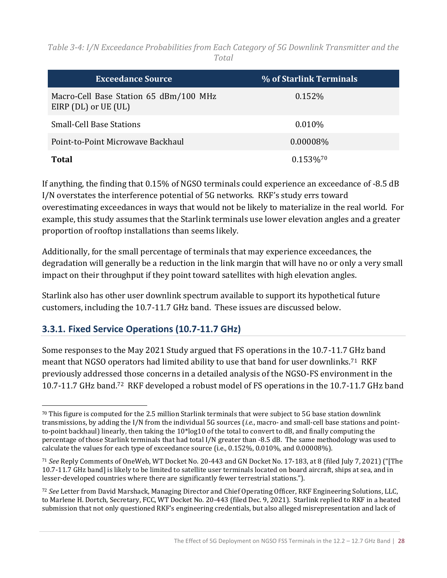<span id="page-35-1"></span>*Table 3-4: I/N Exceedance Probabilities from Each Category of 5G Downlink Transmitter and the Total*

| <b>Exceedance Source</b>                                       | % of Starlink Terminals |
|----------------------------------------------------------------|-------------------------|
| Macro-Cell Base Station 65 dBm/100 MHz<br>EIRP (DL) or UE (UL) | 0.152\%                 |
| Small-Cell Base Stations                                       | $0.010\%$               |
| Point-to-Point Microwave Backhaul                              | $0.00008\%$             |
| Total                                                          | 0.153%                  |

If anything, the finding that 0.15% of NGSO terminals could experience an exceedance of -8.5 dB I/N overstates the interference potential of 5G networks. RKF's study errs toward overestimating exceedances in ways that would not be likely to materialize in the real world. For example, this study assumes that the Starlink terminals use lower elevation angles and a greater proportion of rooftop installations than seems likely.

Additionally, for the small percentage of terminals that may experience exceedances, the degradation will generally be a reduction in the link margin that will have no or only a very small impact on their throughput if they point toward satellites with high elevation angles.

Starlink also has other user downlink spectrum available to support its hypothetical future customers, including the 10.7-11.7 GHz band. These issues are discussed below.

#### <span id="page-35-0"></span>**3.3.1. Fixed Service Operations (10.7-11.7 GHz)**

Some responses to the May 2021 Study argued that FS operations in the 10.7-11.7 GHz band meant that NGSO operators had limited ability to use that band for user downlinks.<sup>71</sup> RKF previously addressed those concerns in a detailed analysis of the NGSO-FS environment in the 10.7-11.7 GHz band.72 RKF developed a robust model of FS operations in the 10.7-11.7 GHz band

 $70$  This figure is computed for the 2.5 million Starlink terminals that were subject to 5G base station downlink transmissions, by adding the I/N from the individual 5G sources (*i.e.*, macro- and small-cell base stations and pointto-point backhaul) linearly, then taking the 10\*log10 of the total to convert to dB, and finally computing the percentage of those Starlink terminals that had total I/N greater than -8.5 dB. The same methodology was used to calculate the values for each type of exceedance source (i.e., 0.152%, 0.010%, and 0.00008%).

<sup>71</sup> *See* Reply Comments of OneWeb, WT Docket No. 20-443 and GN Docket No. 17-183, at 8 (filed July 7, 2021) ("[The 10.7-11.7 GHz band] is likely to be limited to satellite user terminals located on board aircraft, ships at sea, and in lesser-developed countries where there are significantly fewer terrestrial stations.").

<sup>72</sup> *See* Letter from David Marshack, Managing Director and Chief Operating Officer, RKF Engineering Solutions, LLC, to Marlene H. Dortch, Secretary, FCC, WT Docket No. 20-443 (filed Dec. 9, 2021). Starlink replied to RKF in a heated submission that not only questioned RKF's engineering credentials, but also alleged misrepresentation and lack of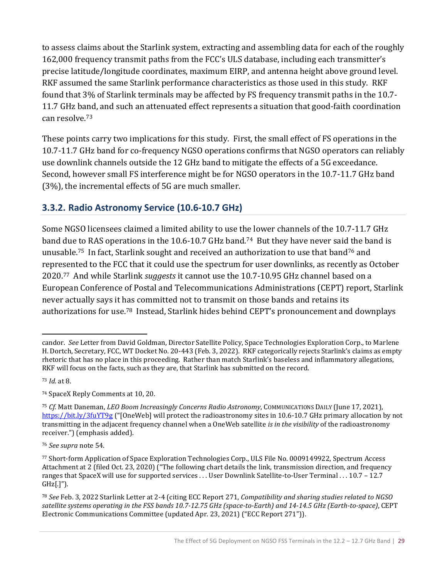to assess claims about the Starlink system, extracting and assembling data for each of the roughly 162,000 frequency transmit paths from the FCC's ULS database, including each transmitter's precise latitude/longitude coordinates, maximum EIRP, and antenna height above ground level. RKF assumed the same Starlink performance characteristics as those used in this study. RKF found that 3% of Starlink terminals may be affected by FS frequency transmit paths in the 10.7- 11.7 GHz band, and such an attenuated effect represents a situation that good-faith coordination can resolve.<sup>73</sup>

These points carry two implications for this study. First, the small effect of FS operations in the 10.7-11.7 GHz band for co-frequency NGSO operations confirms that NGSO operators can reliably use downlink channels outside the 12 GHz band to mitigate the effects of a 5G exceedance. Second, however small FS interference might be for NGSO operators in the 10.7-11.7 GHz band (3%), the incremental effects of 5G are much smaller.

### <span id="page-36-0"></span>**3.3.2. Radio Astronomy Service (10.6-10.7 GHz)**

Some NGSO licensees claimed a limited ability to use the lower channels of the 10.7-11.7 GHz band due to RAS operations in the 10.6-10.7 GHz band.<sup>74</sup> But they have never said the band is unusable.75 In fact, Starlink sought and received an authorization to use that band<sup>76</sup> and represented to the FCC that it could use the spectrum for user downlinks, as recently as October 2020.77 And while Starlink *suggests* it cannot use the 10.7-10.95 GHz channel based on a European Conference of Postal and Telecommunications Administrations (CEPT) report, Starlink never actually says it has committed not to transmit on those bands and retains its authorizations for use.<sup>78</sup> Instead, Starlink hides behind CEPT's pronouncement and downplays

<sup>74</sup> SpaceX Reply Comments at 10, 20.

candor. *See* Letter from David Goldman, Director Satellite Policy, Space Technologies Exploration Corp., to Marlene H. Dortch, Secretary, FCC, WT Docket No. 20-443 (Feb. 3, 2022). RKF categorically rejects Starlink's claims as empty rhetoric that has no place in this proceeding. Rather than match Starlink's baseless and inflammatory allegations, RKF will focus on the facts, such as they are, that Starlink has submitted on the record.

<sup>73</sup> *Id.* at 8.

<sup>75</sup> *Cf.* Matt Daneman, *LEO Boom Increasingly Concerns Radio Astronomy*, COMMUNICATIONS DAILY (June 17, 2021), <https://bit.ly/3fuYT9g> ("[OneWeb] will protect the radioastronomy sites in 10.6-10.7 GHz primary allocation by not transmitting in the adjacent frequency channel when a OneWeb satellite *is in the visibility* of the radioastronomy receiver.") (emphasis added).

<sup>76</sup> *See supra* note 54.

<sup>77</sup> Short-form Application of Space Exploration Technologies Corp., ULS File No. 0009149922, Spectrum Access Attachment at 2 (filed Oct. 23, 2020) ("The following chart details the link, transmission direction, and frequency ranges that SpaceX will use for supported services . . . User Downlink Satellite-to-User Terminal . . . 10.7 – 12.7 GHz[.]").

<sup>78</sup> *See* Feb. 3, 2022 Starlink Letter at 2-4 (citing ECC Report 271, *Compatibility and sharing studies related to NGSO satellite systems operating in the FSS bands 10.7-12.75 GHz (space-to-Earth) and 14-14.5 GHz (Earth-to-space)*, CEPT Electronic Communications Committee (updated Apr. 23, 2021) ("ECC Report 271")).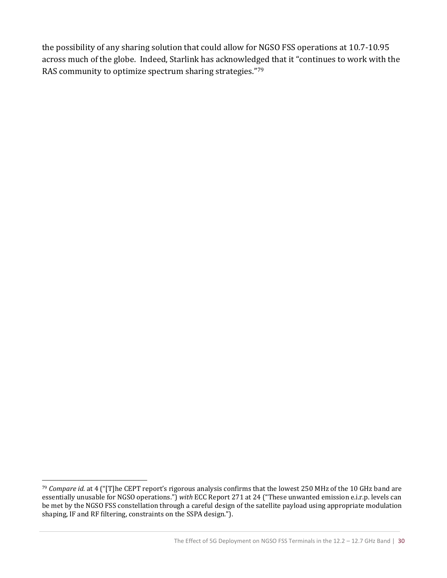the possibility of any sharing solution that could allow for NGSO FSS operations at 10.7-10.95 across much of the globe. Indeed, Starlink has acknowledged that it "continues to work with the RAS community to optimize spectrum sharing strategies."<sup>79</sup>

<sup>79</sup> *Compare id.* at 4 ("[T]he CEPT report's rigorous analysis confirms that the lowest 250 MHz of the 10 GHz band are essentially unusable for NGSO operations.") *with* ECC Report 271 at 24 ("These unwanted emission e.i.r.p. levels can be met by the NGSO FSS constellation through a careful design of the satellite payload using appropriate modulation shaping, IF and RF filtering, constraints on the SSPA design.").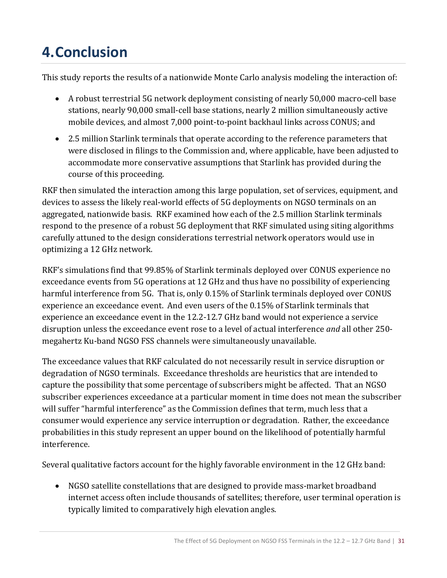# <span id="page-38-0"></span>**4.Conclusion**

This study reports the results of a nationwide Monte Carlo analysis modeling the interaction of:

- A robust terrestrial 5G network deployment consisting of nearly 50,000 macro-cell base stations, nearly 90,000 small-cell base stations, nearly 2 million simultaneously active mobile devices, and almost 7,000 point-to-point backhaul links across CONUS; and
- 2.5 million Starlink terminals that operate according to the reference parameters that were disclosed in filings to the Commission and, where applicable, have been adjusted to accommodate more conservative assumptions that Starlink has provided during the course of this proceeding.

RKF then simulated the interaction among this large population, set of services, equipment, and devices to assess the likely real-world effects of 5G deployments on NGSO terminals on an aggregated, nationwide basis. RKF examined how each of the 2.5 million Starlink terminals respond to the presence of a robust 5G deployment that RKF simulated using siting algorithms carefully attuned to the design considerations terrestrial network operators would use in optimizing a 12 GHz network.

RKF's simulations find that 99.85% of Starlink terminals deployed over CONUS experience no exceedance events from 5G operations at 12 GHz and thus have no possibility of experiencing harmful interference from 5G. That is, only 0.15% of Starlink terminals deployed over CONUS experience an exceedance event. And even users of the 0.15% of Starlink terminals that experience an exceedance event in the 12.2-12.7 GHz band would not experience a service disruption unless the exceedance event rose to a level of actual interference *and* all other 250 megahertz Ku-band NGSO FSS channels were simultaneously unavailable.

The exceedance values that RKF calculated do not necessarily result in service disruption or degradation of NGSO terminals. Exceedance thresholds are heuristics that are intended to capture the possibility that some percentage of subscribers might be affected.That an NGSO subscriber experiences exceedance at a particular moment in time does not mean the subscriber will suffer "harmful interference" as the Commission defines that term, much less that a consumer would experience any service interruption or degradation. Rather, the exceedance probabilities in this study represent an upper bound on the likelihood of potentially harmful interference.

Several qualitative factors account for the highly favorable environment in the 12 GHz band:

• NGSO satellite constellations that are designed to provide mass-market broadband internet access often include thousands of satellites; therefore, user terminal operation is typically limited to comparatively high elevation angles.